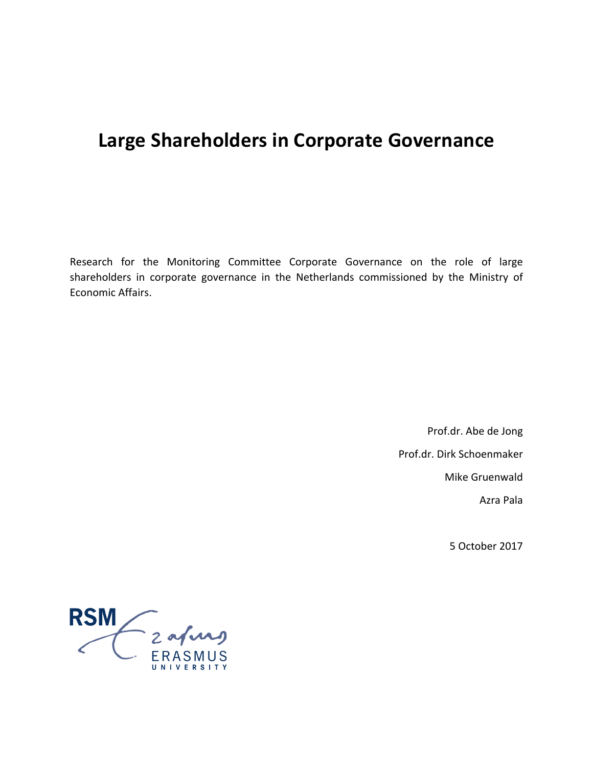# **Large Shareholders in Corporate Governance**

Research for the Monitoring Committee Corporate Governance on the role of large shareholders in corporate governance in the Netherlands commissioned by the Ministry of Economic Affairs.

> Prof.dr. Abe de Jong Prof.dr. Dirk Schoenmaker Mike Gruenwald Azra Pala

> > 5 October 2017

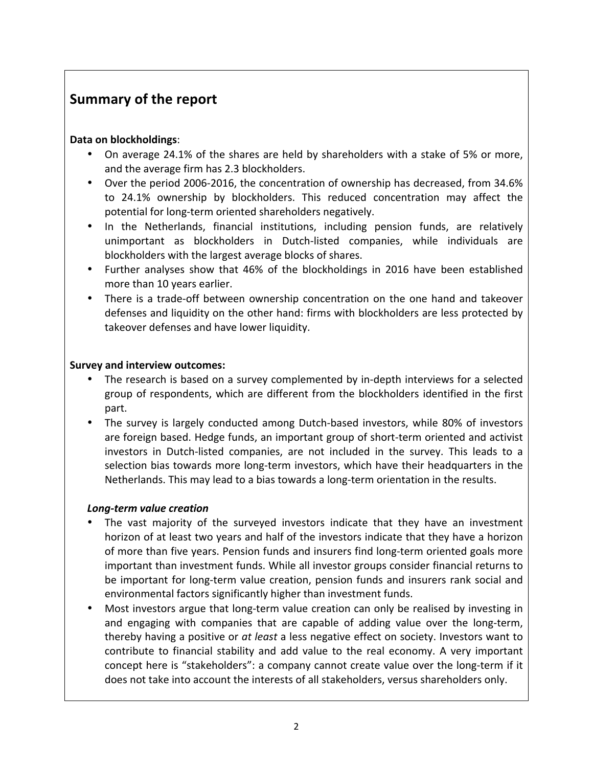## **Summary of the report**

## **Data on blockholdings**:

- On average 24.1% of the shares are held by shareholders with a stake of 5% or more, and the average firm has 2.3 blockholders.
- Over the period 2006-2016, the concentration of ownership has decreased, from 34.6% to 24.1% ownership by blockholders. This reduced concentration may affect the potential for long-term oriented shareholders negatively.
- In the Netherlands, financial institutions, including pension funds, are relatively unimportant as blockholders in Dutch-listed companies, while individuals are blockholders with the largest average blocks of shares.
- Further analyses show that 46% of the blockholdings in 2016 have been established more than 10 years earlier.
- There is a trade-off between ownership concentration on the one hand and takeover defenses and liquidity on the other hand: firms with blockholders are less protected by takeover defenses and have lower liquidity.

## **Survey and interview outcomes:**

- The research is based on a survey complemented by in-depth interviews for a selected group of respondents, which are different from the blockholders identified in the first part.
- The survey is largely conducted among Dutch-based investors, while 80% of investors are foreign based. Hedge funds, an important group of short-term oriented and activist investors in Dutch-listed companies, are not included in the survey. This leads to a selection bias towards more long-term investors, which have their headquarters in the Netherlands. This may lead to a bias towards a long-term orientation in the results.

## *Long-term value creation*

- The vast majority of the surveyed investors indicate that they have an investment horizon of at least two years and half of the investors indicate that they have a horizon of more than five years. Pension funds and insurers find long-term oriented goals more important than investment funds. While all investor groups consider financial returns to be important for long-term value creation, pension funds and insurers rank social and environmental factors significantly higher than investment funds.
- Most investors argue that long-term value creation can only be realised by investing in and engaging with companies that are capable of adding value over the long-term, thereby having a positive or *at least* a less negative effect on society. Investors want to contribute to financial stability and add value to the real economy. A very important concept here is "stakeholders": a company cannot create value over the long-term if it does not take into account the interests of all stakeholders, versus shareholders only.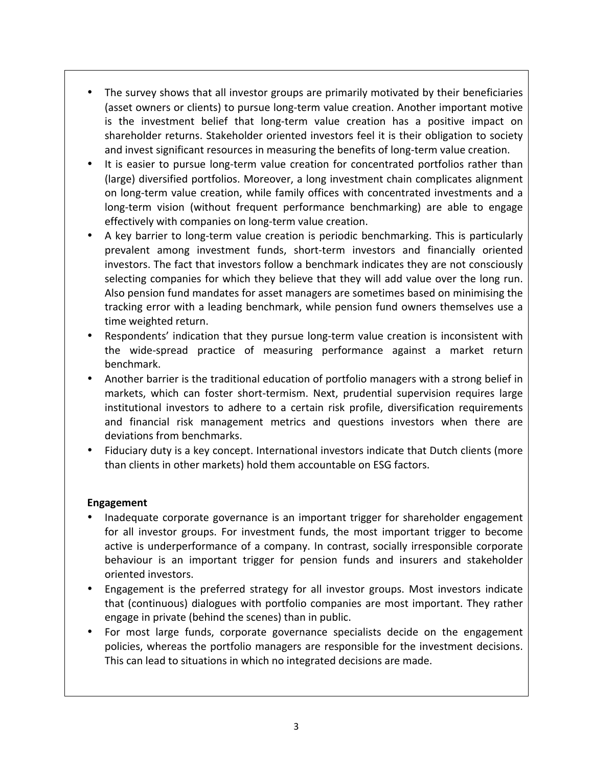- The survey shows that all investor groups are primarily motivated by their beneficiaries (asset owners or clients) to pursue long-term value creation. Another important motive is the investment belief that long-term value creation has a positive impact on shareholder returns. Stakeholder oriented investors feel it is their obligation to society and invest significant resources in measuring the benefits of long-term value creation.
- It is easier to pursue long-term value creation for concentrated portfolios rather than (large) diversified portfolios. Moreover, a long investment chain complicates alignment on long-term value creation, while family offices with concentrated investments and a long-term vision (without frequent performance benchmarking) are able to engage effectively with companies on long-term value creation.
- A key barrier to long-term value creation is periodic benchmarking. This is particularly prevalent among investment funds, short-term investors and financially oriented investors. The fact that investors follow a benchmark indicates they are not consciously selecting companies for which they believe that they will add value over the long run. Also pension fund mandates for asset managers are sometimes based on minimising the tracking error with a leading benchmark, while pension fund owners themselves use a time weighted return.
- Respondents' indication that they pursue long-term value creation is inconsistent with the wide-spread practice of measuring performance against a market return benchmark.
- Another barrier is the traditional education of portfolio managers with a strong belief in markets, which can foster short-termism. Next, prudential supervision requires large institutional investors to adhere to a certain risk profile, diversification requirements and financial risk management metrics and questions investors when there are deviations from benchmarks.
- Fiduciary duty is a key concept. International investors indicate that Dutch clients (more than clients in other markets) hold them accountable on ESG factors.

## **Engagement**

- Inadequate corporate governance is an important trigger for shareholder engagement for all investor groups. For investment funds, the most important trigger to become active is underperformance of a company. In contrast, socially irresponsible corporate behaviour is an important trigger for pension funds and insurers and stakeholder oriented investors.
- Engagement is the preferred strategy for all investor groups. Most investors indicate that (continuous) dialogues with portfolio companies are most important. They rather engage in private (behind the scenes) than in public.
- For most large funds, corporate governance specialists decide on the engagement policies, whereas the portfolio managers are responsible for the investment decisions. This can lead to situations in which no integrated decisions are made.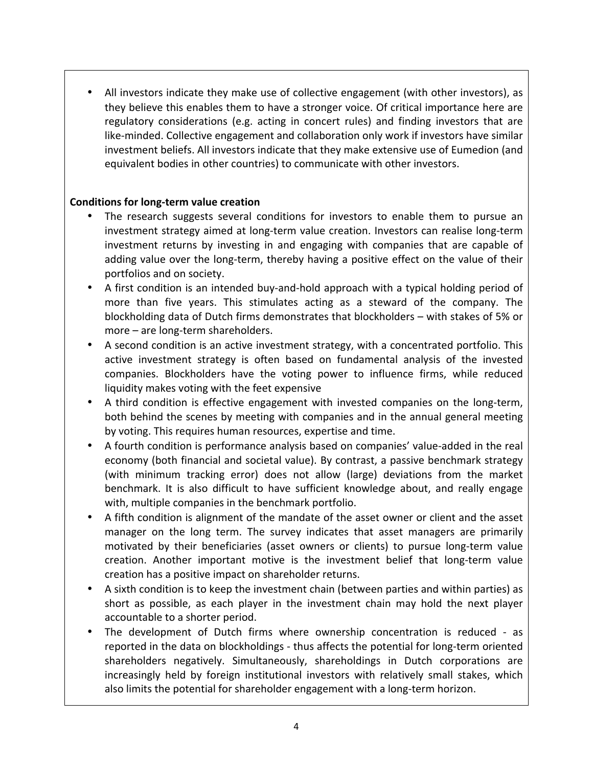All investors indicate they make use of collective engagement (with other investors), as they believe this enables them to have a stronger voice. Of critical importance here are regulatory considerations (e.g. acting in concert rules) and finding investors that are like-minded. Collective engagement and collaboration only work if investors have similar investment beliefs. All investors indicate that they make extensive use of Eumedion (and equivalent bodies in other countries) to communicate with other investors.

## **Conditions for long-term value creation**

- The research suggests several conditions for investors to enable them to pursue an investment strategy aimed at long-term value creation. Investors can realise long-term investment returns by investing in and engaging with companies that are capable of adding value over the long-term, thereby having a positive effect on the value of their portfolios and on society.
- A first condition is an intended buy-and-hold approach with a typical holding period of more than five years. This stimulates acting as a steward of the company. The blockholding data of Dutch firms demonstrates that blockholders – with stakes of 5% or  $more - are long-term shareholders.$
- A second condition is an active investment strategy, with a concentrated portfolio. This active investment strategy is often based on fundamental analysis of the invested companies. Blockholders have the voting power to influence firms, while reduced liquidity makes voting with the feet expensive
- A third condition is effective engagement with invested companies on the long-term, both behind the scenes by meeting with companies and in the annual general meeting by voting. This requires human resources, expertise and time.
- A fourth condition is performance analysis based on companies' value-added in the real economy (both financial and societal value). By contrast, a passive benchmark strategy (with minimum tracking error) does not allow (large) deviations from the market benchmark. It is also difficult to have sufficient knowledge about, and really engage with, multiple companies in the benchmark portfolio.
- A fifth condition is alignment of the mandate of the asset owner or client and the asset manager on the long term. The survey indicates that asset managers are primarily motivated by their beneficiaries (asset owners or clients) to pursue long-term value creation. Another important motive is the investment belief that long-term value creation has a positive impact on shareholder returns.
- A sixth condition is to keep the investment chain (between parties and within parties) as short as possible, as each player in the investment chain may hold the next player accountable to a shorter period.
- The development of Dutch firms where ownership concentration is reduced as reported in the data on blockholdings - thus affects the potential for long-term oriented shareholders negatively. Simultaneously, shareholdings in Dutch corporations are increasingly held by foreign institutional investors with relatively small stakes, which also limits the potential for shareholder engagement with a long-term horizon.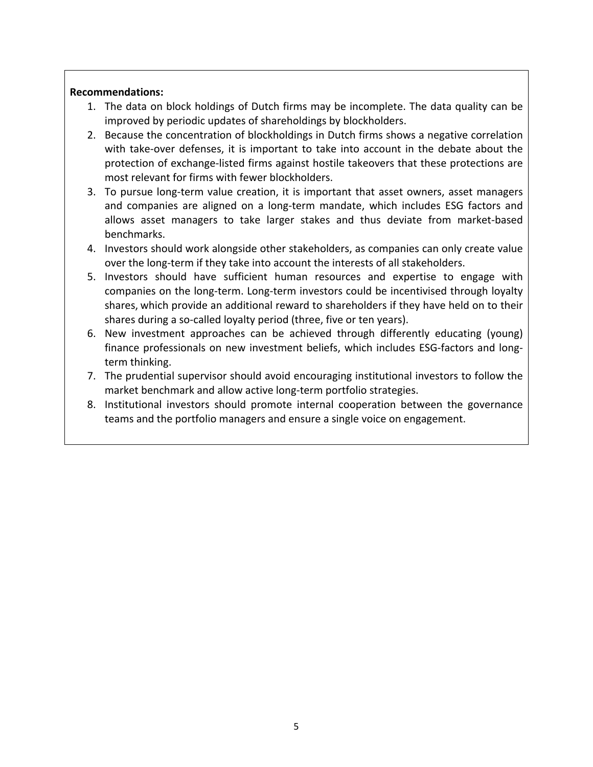#### **Recommendations:**

- 1. The data on block holdings of Dutch firms may be incomplete. The data quality can be improved by periodic updates of shareholdings by blockholders.
- 2. Because the concentration of blockholdings in Dutch firms shows a negative correlation with take-over defenses, it is important to take into account in the debate about the protection of exchange-listed firms against hostile takeovers that these protections are most relevant for firms with fewer blockholders.
- 3. To pursue long-term value creation, it is important that asset owners, asset managers and companies are aligned on a long-term mandate, which includes ESG factors and allows asset managers to take larger stakes and thus deviate from market-based benchmarks.
- 4. Investors should work alongside other stakeholders, as companies can only create value over the long-term if they take into account the interests of all stakeholders.
- 5. Investors should have sufficient human resources and expertise to engage with companies on the long-term. Long-term investors could be incentivised through loyalty shares, which provide an additional reward to shareholders if they have held on to their shares during a so-called loyalty period (three, five or ten years).
- 6. New investment approaches can be achieved through differently educating (young) finance professionals on new investment beliefs, which includes ESG-factors and longterm thinking.
- 7. The prudential supervisor should avoid encouraging institutional investors to follow the market benchmark and allow active long-term portfolio strategies.
- 8. Institutional investors should promote internal cooperation between the governance teams and the portfolio managers and ensure a single voice on engagement.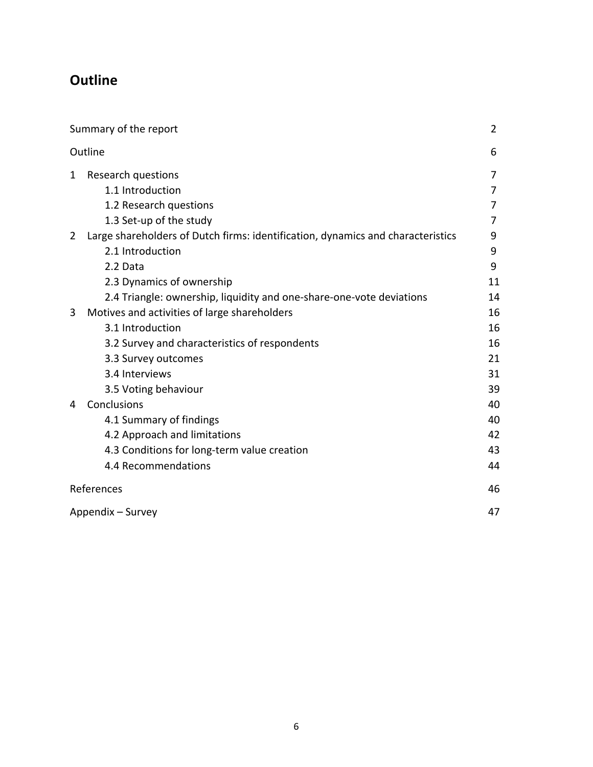# **Outline**

|   | Summary of the report                                                           | $\overline{2}$ |
|---|---------------------------------------------------------------------------------|----------------|
|   | Outline                                                                         | 6              |
| 1 | Research questions                                                              | 7              |
|   | 1.1 Introduction                                                                | 7              |
|   | 1.2 Research questions                                                          | 7              |
|   | 1.3 Set-up of the study                                                         | 7              |
| 2 | Large shareholders of Dutch firms: identification, dynamics and characteristics | 9              |
|   | 2.1 Introduction                                                                | 9              |
|   | 2.2 Data                                                                        | 9              |
|   | 2.3 Dynamics of ownership                                                       | 11             |
|   | 2.4 Triangle: ownership, liquidity and one-share-one-vote deviations            | 14             |
| 3 | Motives and activities of large shareholders                                    | 16             |
|   | 3.1 Introduction                                                                | 16             |
|   | 3.2 Survey and characteristics of respondents                                   | 16             |
|   | 3.3 Survey outcomes                                                             | 21             |
|   | 3.4 Interviews                                                                  | 31             |
|   | 3.5 Voting behaviour                                                            | 39             |
| 4 | Conclusions                                                                     | 40             |
|   | 4.1 Summary of findings                                                         | 40             |
|   | 4.2 Approach and limitations                                                    | 42             |
|   | 4.3 Conditions for long-term value creation                                     | 43             |
|   | 4.4 Recommendations                                                             | 44             |
|   | References                                                                      | 46             |
|   | Appendix - Survey                                                               | 47             |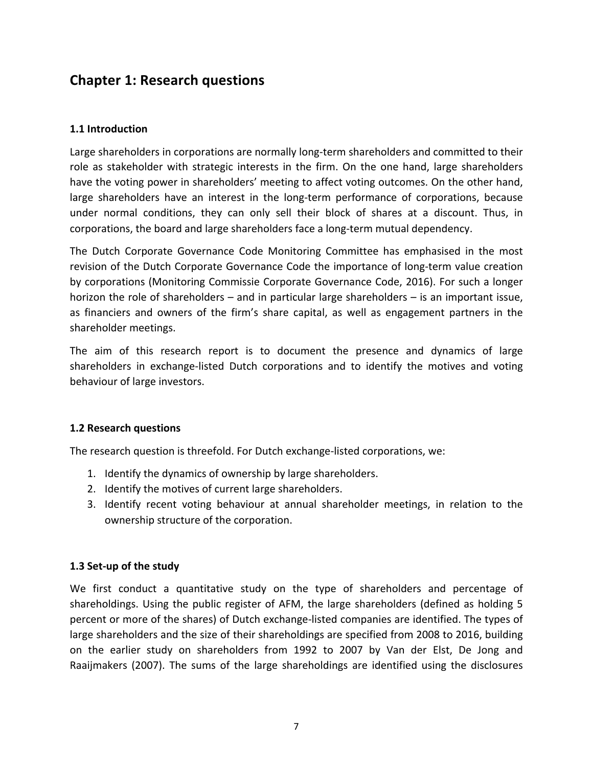## **Chapter 1: Research questions**

#### **1.1 Introduction**

Large shareholders in corporations are normally long-term shareholders and committed to their role as stakeholder with strategic interests in the firm. On the one hand, large shareholders have the voting power in shareholders' meeting to affect voting outcomes. On the other hand, large shareholders have an interest in the long-term performance of corporations, because under normal conditions, they can only sell their block of shares at a discount. Thus, in corporations, the board and large shareholders face a long-term mutual dependency.

The Dutch Corporate Governance Code Monitoring Committee has emphasised in the most revision of the Dutch Corporate Governance Code the importance of long-term value creation by corporations (Monitoring Commissie Corporate Governance Code, 2016). For such a longer horizon the role of shareholders  $-$  and in particular large shareholders  $-$  is an important issue, as financiers and owners of the firm's share capital, as well as engagement partners in the shareholder meetings.

The aim of this research report is to document the presence and dynamics of large shareholders in exchange-listed Dutch corporations and to identify the motives and voting behaviour of large investors.

#### **1.2 Research questions**

The research question is threefold. For Dutch exchange-listed corporations, we:

- 1. Identify the dynamics of ownership by large shareholders.
- 2. Identify the motives of current large shareholders.
- 3. Identify recent voting behaviour at annual shareholder meetings, in relation to the ownership structure of the corporation.

#### **1.3 Set-up of the study**

We first conduct a quantitative study on the type of shareholders and percentage of shareholdings. Using the public register of AFM, the large shareholders (defined as holding 5 percent or more of the shares) of Dutch exchange-listed companies are identified. The types of large shareholders and the size of their shareholdings are specified from 2008 to 2016, building on the earlier study on shareholders from 1992 to 2007 by Van der Elst, De Jong and Raaijmakers (2007). The sums of the large shareholdings are identified using the disclosures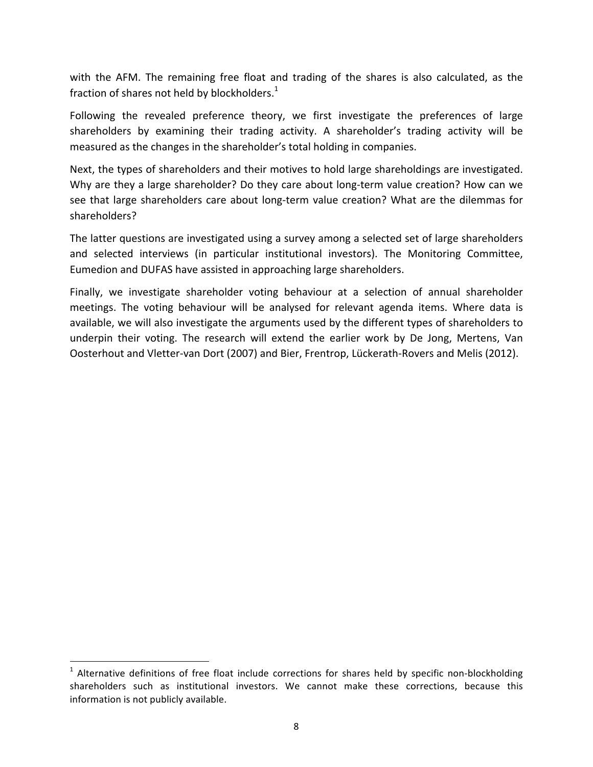with the AFM. The remaining free float and trading of the shares is also calculated, as the fraction of shares not held by blockholders.<sup>1</sup>

Following the revealed preference theory, we first investigate the preferences of large shareholders by examining their trading activity. A shareholder's trading activity will be measured as the changes in the shareholder's total holding in companies.

Next, the types of shareholders and their motives to hold large shareholdings are investigated. Why are they a large shareholder? Do they care about long-term value creation? How can we see that large shareholders care about long-term value creation? What are the dilemmas for shareholders?

The latter questions are investigated using a survey among a selected set of large shareholders and selected interviews (in particular institutional investors). The Monitoring Committee, Eumedion and DUFAS have assisted in approaching large shareholders.

Finally, we investigate shareholder voting behaviour at a selection of annual shareholder meetings. The voting behaviour will be analysed for relevant agenda items. Where data is available, we will also investigate the arguments used by the different types of shareholders to underpin their voting. The research will extend the earlier work by De Jong, Mertens, Van Oosterhout and Vletter-van Dort (2007) and Bier, Frentrop, Lückerath-Rovers and Melis (2012).

 

 $<sup>1</sup>$  Alternative definitions of free float include corrections for shares held by specific non-blockholding</sup> shareholders such as institutional investors. We cannot make these corrections, because this information is not publicly available.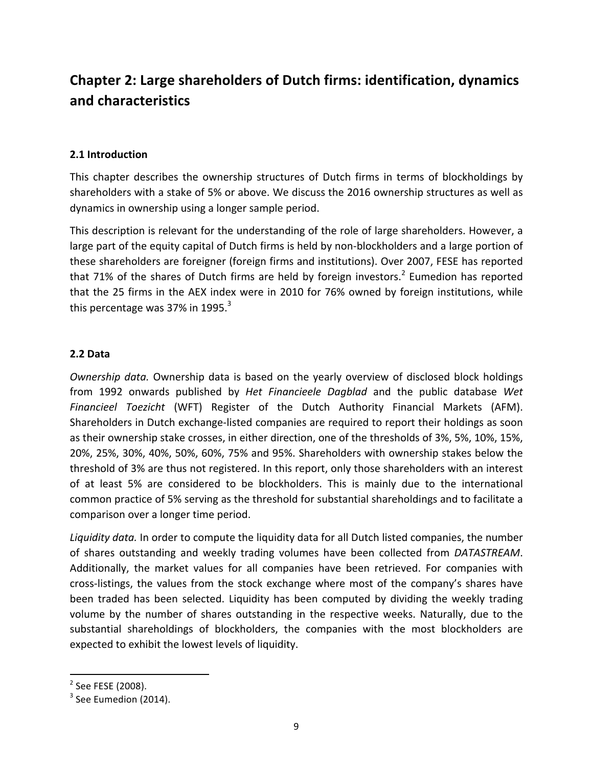## **Chapter 2: Large shareholders of Dutch firms: identification, dynamics and characteristics**

## **2.1 Introduction**

This chapter describes the ownership structures of Dutch firms in terms of blockholdings by shareholders with a stake of 5% or above. We discuss the 2016 ownership structures as well as dynamics in ownership using a longer sample period.

This description is relevant for the understanding of the role of large shareholders. However, a large part of the equity capital of Dutch firms is held by non-blockholders and a large portion of these shareholders are foreigner (foreign firms and institutions). Over 2007, FESE has reported that 71% of the shares of Dutch firms are held by foreign investors.<sup>2</sup> Eumedion has reported that the 25 firms in the AEX index were in 2010 for 76% owned by foreign institutions, while this percentage was 37% in 1995. $3$ 

## **2.2 Data**

*Ownership data.* Ownership data is based on the yearly overview of disclosed block holdings from 1992 onwards published by *Het Financieele Dagblad* and the public database Wet Financieel Toezicht (WFT) Register of the Dutch Authority Financial Markets (AFM). Shareholders in Dutch exchange-listed companies are required to report their holdings as soon as their ownership stake crosses, in either direction, one of the thresholds of 3%, 5%, 10%, 15%, 20%, 25%, 30%, 40%, 50%, 60%, 75% and 95%. Shareholders with ownership stakes below the threshold of 3% are thus not registered. In this report, only those shareholders with an interest of at least 5% are considered to be blockholders. This is mainly due to the international common practice of 5% serving as the threshold for substantial shareholdings and to facilitate a comparison over a longer time period.

Liquidity data. In order to compute the liquidity data for all Dutch listed companies, the number of shares outstanding and weekly trading volumes have been collected from *DATASTREAM*. Additionally, the market values for all companies have been retrieved. For companies with cross-listings, the values from the stock exchange where most of the company's shares have been traded has been selected. Liquidity has been computed by dividing the weekly trading volume by the number of shares outstanding in the respective weeks. Naturally, due to the substantial shareholdings of blockholders, the companies with the most blockholders are expected to exhibit the lowest levels of liquidity.

<u> 1989 - Johann Stein, markin film yn y breninn y breninn y breninn y breninn y breninn y breninn y breninn y b</u>

 $2$  See FESE (2008).

 $3$  See Eumedion (2014).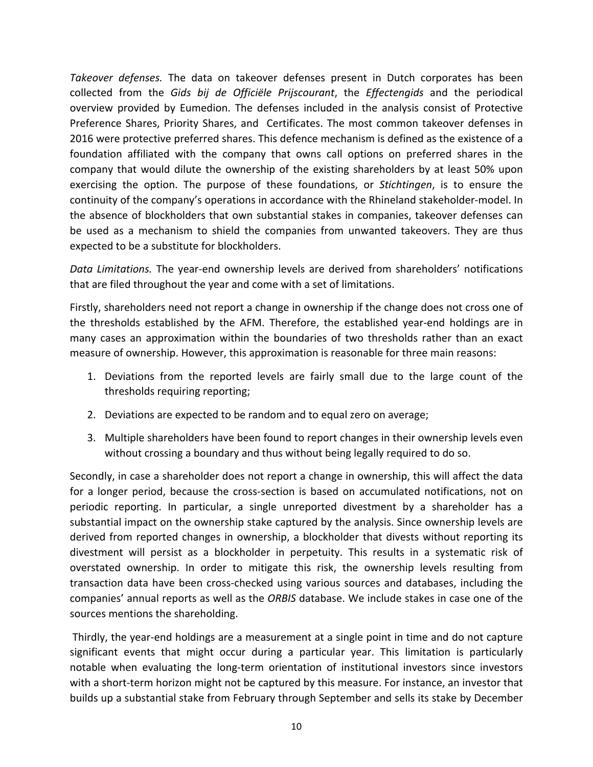*Takeover defenses*. The data on takeover defenses present in Dutch corporates has been collected from the *Gids bij de Officiële Prijscourant*, the *Effectengids* and the periodical overview provided by Eumedion. The defenses included in the analysis consist of Protective Preference Shares, Priority Shares, and Certificates. The most common takeover defenses in 2016 were protective preferred shares. This defence mechanism is defined as the existence of a foundation affiliated with the company that owns call options on preferred shares in the company that would dilute the ownership of the existing shareholders by at least 50% upon exercising the option. The purpose of these foundations, or *Stichtingen*, is to ensure the continuity of the company's operations in accordance with the Rhineland stakeholder-model. In the absence of blockholders that own substantial stakes in companies, takeover defenses can be used as a mechanism to shield the companies from unwanted takeovers. They are thus expected to be a substitute for blockholders.

*Data Limitations.* The year-end ownership levels are derived from shareholders' notifications that are filed throughout the year and come with a set of limitations.

Firstly, shareholders need not report a change in ownership if the change does not cross one of the thresholds established by the AFM. Therefore, the established year-end holdings are in many cases an approximation within the boundaries of two thresholds rather than an exact measure of ownership. However, this approximation is reasonable for three main reasons:

- 1. Deviations from the reported levels are fairly small due to the large count of the thresholds requiring reporting;
- 2. Deviations are expected to be random and to equal zero on average;
- 3. Multiple shareholders have been found to report changes in their ownership levels even without crossing a boundary and thus without being legally required to do so.

Secondly, in case a shareholder does not report a change in ownership, this will affect the data for a longer period, because the cross-section is based on accumulated notifications, not on periodic reporting. In particular, a single unreported divestment by a shareholder has a substantial impact on the ownership stake captured by the analysis. Since ownership levels are derived from reported changes in ownership, a blockholder that divests without reporting its divestment will persist as a blockholder in perpetuity. This results in a systematic risk of overstated ownership. In order to mitigate this risk, the ownership levels resulting from transaction data have been cross-checked using various sources and databases, including the companies' annual reports as well as the *ORBIS* database. We include stakes in case one of the sources mentions the shareholding.

Thirdly, the year-end holdings are a measurement at a single point in time and do not capture significant events that might occur during a particular year. This limitation is particularly notable when evaluating the long-term orientation of institutional investors since investors with a short-term horizon might not be captured by this measure. For instance, an investor that builds up a substantial stake from February through September and sells its stake by December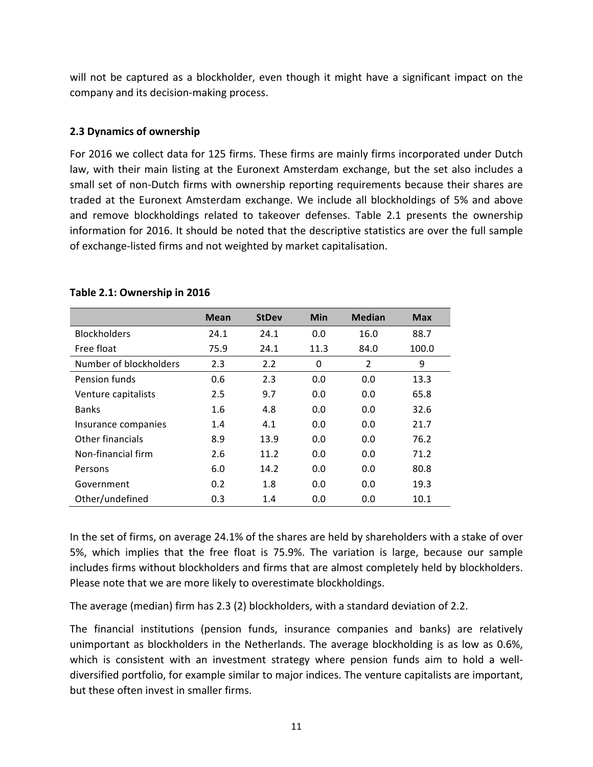will not be captured as a blockholder, even though it might have a significant impact on the company and its decision-making process.

## **2.3 Dynamics of ownership**

For 2016 we collect data for 125 firms. These firms are mainly firms incorporated under Dutch law, with their main listing at the Euronext Amsterdam exchange, but the set also includes a small set of non-Dutch firms with ownership reporting requirements because their shares are traded at the Euronext Amsterdam exchange. We include all blockholdings of 5% and above and remove blockholdings related to takeover defenses. Table 2.1 presents the ownership information for 2016. It should be noted that the descriptive statistics are over the full sample of exchange-listed firms and not weighted by market capitalisation.

|                        | Mean | <b>StDev</b> | <b>Min</b> | <b>Median</b>  | <b>Max</b> |
|------------------------|------|--------------|------------|----------------|------------|
| <b>Blockholders</b>    | 24.1 | 24.1         | 0.0        | 16.0           | 88.7       |
| Free float             | 75.9 | 24.1         | 11.3       | 84.0           | 100.0      |
| Number of blockholders | 2.3  | 2.2          | 0          | $\overline{2}$ | 9          |
| Pension funds          | 0.6  | 2.3          | 0.0        | 0.0            | 13.3       |
| Venture capitalists    | 2.5  | 9.7          | 0.0        | 0.0            | 65.8       |
| <b>Banks</b>           | 1.6  | 4.8          | 0.0        | 0.0            | 32.6       |
| Insurance companies    | 1.4  | 4.1          | 0.0        | 0.0            | 21.7       |
| Other financials       | 8.9  | 13.9         | 0.0        | 0.0            | 76.2       |
| Non-financial firm     | 2.6  | 11.2         | 0.0        | 0.0            | 71.2       |
| Persons                | 6.0  | 14.2         | 0.0        | 0.0            | 80.8       |
| Government             | 0.2  | 1.8          | 0.0        | 0.0            | 19.3       |
| Other/undefined        | 0.3  | 1.4          | 0.0        | 0.0            | 10.1       |

#### Table 2.1: Ownership in 2016

In the set of firms, on average 24.1% of the shares are held by shareholders with a stake of over 5%, which implies that the free float is 75.9%. The variation is large, because our sample includes firms without blockholders and firms that are almost completely held by blockholders. Please note that we are more likely to overestimate blockholdings.

The average (median) firm has  $2.3$  (2) blockholders, with a standard deviation of 2.2.

The financial institutions (pension funds, insurance companies and banks) are relatively unimportant as blockholders in the Netherlands. The average blockholding is as low as 0.6%, which is consistent with an investment strategy where pension funds aim to hold a welldiversified portfolio, for example similar to major indices. The venture capitalists are important, but these often invest in smaller firms.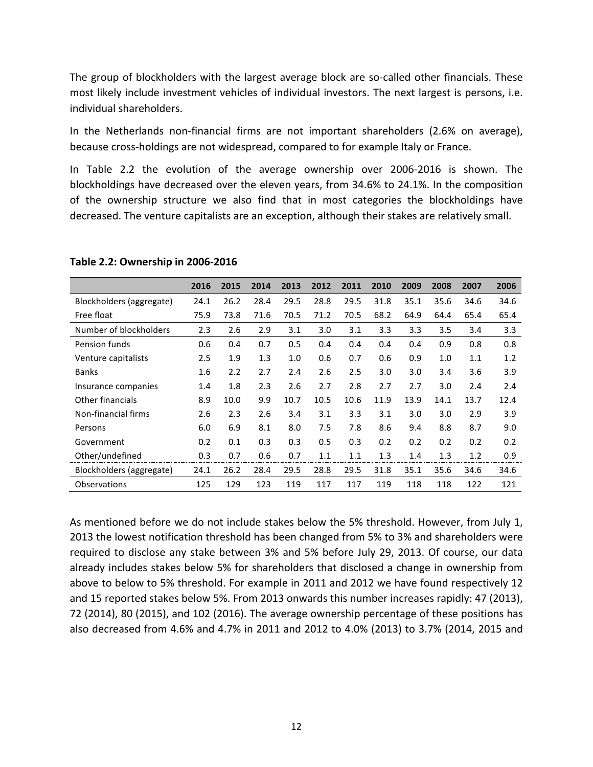The group of blockholders with the largest average block are so-called other financials. These most likely include investment vehicles of individual investors. The next largest is persons, i.e. individual shareholders.

In the Netherlands non-financial firms are not important shareholders (2.6% on average), because cross-holdings are not widespread, compared to for example Italy or France.

In Table 2.2 the evolution of the average ownership over 2006-2016 is shown. The blockholdings have decreased over the eleven years, from 34.6% to 24.1%. In the composition of the ownership structure we also find that in most categories the blockholdings have decreased. The venture capitalists are an exception, although their stakes are relatively small.

|                          | 2016 | 2015 | 2014 | 2013 | 2012 | 2011 | 2010 | 2009 | 2008 | 2007 | 2006 |
|--------------------------|------|------|------|------|------|------|------|------|------|------|------|
| Blockholders (aggregate) | 24.1 | 26.2 | 28.4 | 29.5 | 28.8 | 29.5 | 31.8 | 35.1 | 35.6 | 34.6 | 34.6 |
| Free float               | 75.9 | 73.8 | 71.6 | 70.5 | 71.2 | 70.5 | 68.2 | 64.9 | 64.4 | 65.4 | 65.4 |
| Number of blockholders   | 2.3  | 2.6  | 2.9  | 3.1  | 3.0  | 3.1  | 3.3  | 3.3  | 3.5  | 3.4  | 3.3  |
| Pension funds            | 0.6  | 0.4  | 0.7  | 0.5  | 0.4  | 0.4  | 0.4  | 0.4  | 0.9  | 0.8  | 0.8  |
| Venture capitalists      | 2.5  | 1.9  | 1.3  | 1.0  | 0.6  | 0.7  | 0.6  | 0.9  | 1.0  | 1.1  | 1.2  |
| <b>Banks</b>             | 1.6  | 2.2  | 2.7  | 2.4  | 2.6  | 2.5  | 3.0  | 3.0  | 3.4  | 3.6  | 3.9  |
| Insurance companies      | 1.4  | 1.8  | 2.3  | 2.6  | 2.7  | 2.8  | 2.7  | 2.7  | 3.0  | 2.4  | 2.4  |
| <b>Other financials</b>  | 8.9  | 10.0 | 9.9  | 10.7 | 10.5 | 10.6 | 11.9 | 13.9 | 14.1 | 13.7 | 12.4 |
| Non-financial firms      | 2.6  | 2.3  | 2.6  | 3.4  | 3.1  | 3.3  | 3.1  | 3.0  | 3.0  | 2.9  | 3.9  |
| Persons                  | 6.0  | 6.9  | 8.1  | 8.0  | 7.5  | 7.8  | 8.6  | 9.4  | 8.8  | 8.7  | 9.0  |
| Government               | 0.2  | 0.1  | 0.3  | 0.3  | 0.5  | 0.3  | 0.2  | 0.2  | 0.2  | 0.2  | 0.2  |
| Other/undefined          | 0.3  | 0.7  | 0.6  | 0.7  | 1.1  | 1.1  | 1.3  | 1.4  | 1.3  | 1.2  | 0.9  |
| Blockholders (aggregate) | 24.1 | 26.2 | 28.4 | 29.5 | 28.8 | 29.5 | 31.8 | 35.1 | 35.6 | 34.6 | 34.6 |
| Observations             | 125  | 129  | 123  | 119  | 117  | 117  | 119  | 118  | 118  | 122  | 121  |

#### **Table 2.2: Ownership in 2006-2016**

As mentioned before we do not include stakes below the 5% threshold. However, from July 1, 2013 the lowest notification threshold has been changed from 5% to 3% and shareholders were required to disclose any stake between 3% and 5% before July 29, 2013. Of course, our data already includes stakes below 5% for shareholders that disclosed a change in ownership from above to below to 5% threshold. For example in 2011 and 2012 we have found respectively 12 and 15 reported stakes below 5%. From 2013 onwards this number increases rapidly: 47 (2013), 72 (2014), 80 (2015), and 102 (2016). The average ownership percentage of these positions has also decreased from 4.6% and 4.7% in 2011 and 2012 to 4.0% (2013) to 3.7% (2014, 2015 and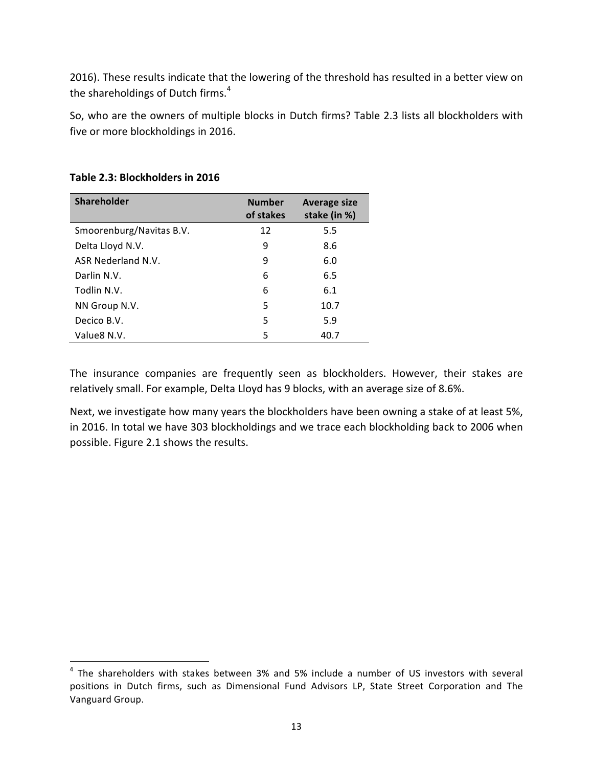2016). These results indicate that the lowering of the threshold has resulted in a better view on the shareholdings of Dutch firms. $4$ 

So, who are the owners of multiple blocks in Dutch firms? Table 2.3 lists all blockholders with five or more blockholdings in 2016.

| Shareholder              | <b>Number</b><br>of stakes | <b>Average size</b><br>stake (in %) |
|--------------------------|----------------------------|-------------------------------------|
| Smoorenburg/Navitas B.V. | 12                         | 5.5                                 |
| Delta Lloyd N.V.         | 9                          | 8.6                                 |
| ASR Nederland N.V.       | 9                          | 6.0                                 |
| Darlin N.V.              | 6                          | 6.5                                 |
| Todlin N.V.              | 6                          | 6.1                                 |
| NN Group N.V.            | 5                          | 10.7                                |
| Decico B.V.              | 5                          | 5.9                                 |
| Value 8N.V.              | 5                          | 40.7                                |

## Table 2.3: Blockholders in 2016

 

The insurance companies are frequently seen as blockholders. However, their stakes are relatively small. For example, Delta Lloyd has 9 blocks, with an average size of 8.6%.

Next, we investigate how many years the blockholders have been owning a stake of at least 5%, in 2016. In total we have 303 blockholdings and we trace each blockholding back to 2006 when possible. Figure 2.1 shows the results.

 $4$  The shareholders with stakes between 3% and 5% include a number of US investors with several positions in Dutch firms, such as Dimensional Fund Advisors LP, State Street Corporation and The Vanguard Group.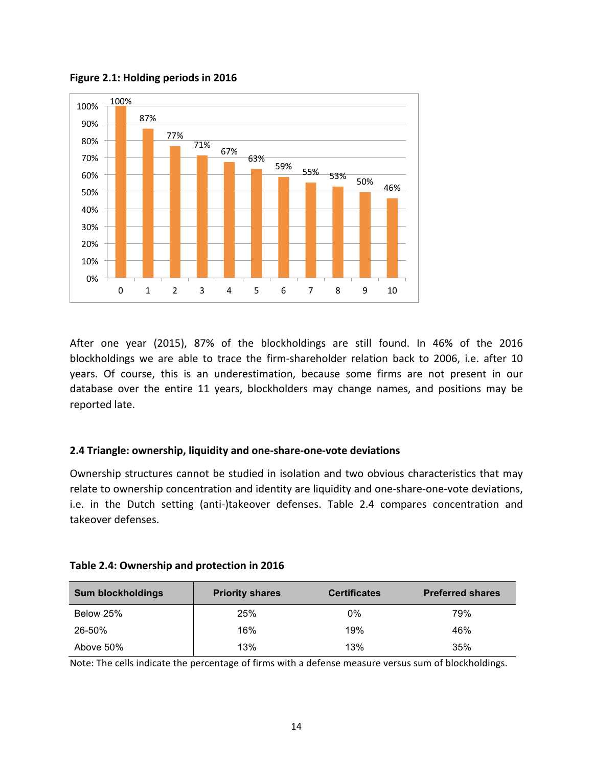

**Figure 2.1: Holding periods in 2016** 

After one year (2015), 87% of the blockholdings are still found. In 46% of the 2016 blockholdings we are able to trace the firm-shareholder relation back to 2006, i.e. after 10 years. Of course, this is an underestimation, because some firms are not present in our database over the entire 11 years, blockholders may change names, and positions may be reported late.

#### **2.4 Triangle: ownership, liquidity and one-share-one-vote deviations**

Ownership structures cannot be studied in isolation and two obvious characteristics that may relate to ownership concentration and identity are liquidity and one-share-one-vote deviations, i.e. in the Dutch setting (anti-)takeover defenses. Table 2.4 compares concentration and takeover defenses.

| Table 2.4: Ownership and protection in 2016 |  |  |
|---------------------------------------------|--|--|
|---------------------------------------------|--|--|

| <b>Sum blockholdings</b> | <b>Priority shares</b> | <b>Certificates</b> | <b>Preferred shares</b> |
|--------------------------|------------------------|---------------------|-------------------------|
| Below 25%                | 25%                    | 0%                  | 79%                     |
| 26-50%                   | 16%                    | 19%                 | 46%                     |
| Above 50%                | 13%                    | 13%                 | 35%                     |

Note: The cells indicate the percentage of firms with a defense measure versus sum of blockholdings.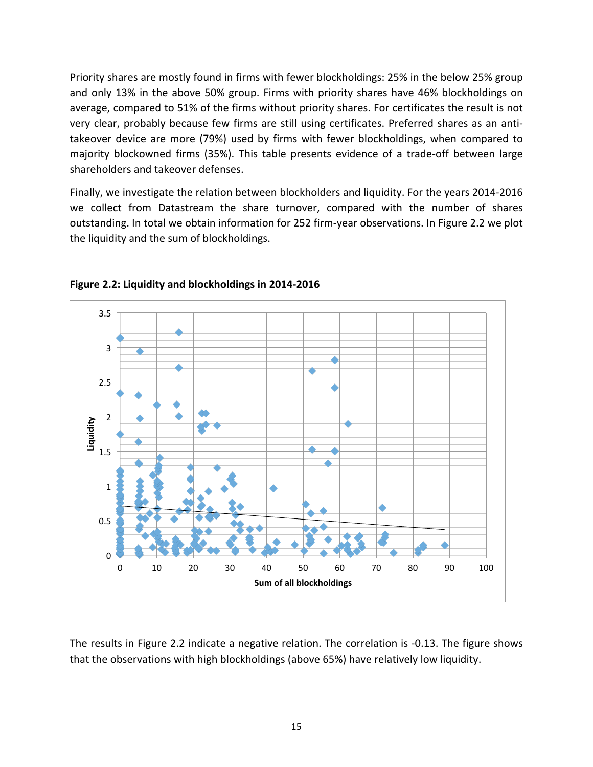Priority shares are mostly found in firms with fewer blockholdings: 25% in the below 25% group and only 13% in the above 50% group. Firms with priority shares have 46% blockholdings on average, compared to 51% of the firms without priority shares. For certificates the result is not very clear, probably because few firms are still using certificates. Preferred shares as an antitakeover device are more (79%) used by firms with fewer blockholdings, when compared to majority blockowned firms (35%). This table presents evidence of a trade-off between large shareholders and takeover defenses.

Finally, we investigate the relation between blockholders and liquidity. For the years 2014-2016 we collect from Datastream the share turnover, compared with the number of shares outstanding. In total we obtain information for 252 firm-year observations. In Figure 2.2 we plot the liquidity and the sum of blockholdings.



**Figure 2.2: Liquidity and blockholdings in 2014-2016**

The results in Figure 2.2 indicate a negative relation. The correlation is -0.13. The figure shows that the observations with high blockholdings (above 65%) have relatively low liquidity.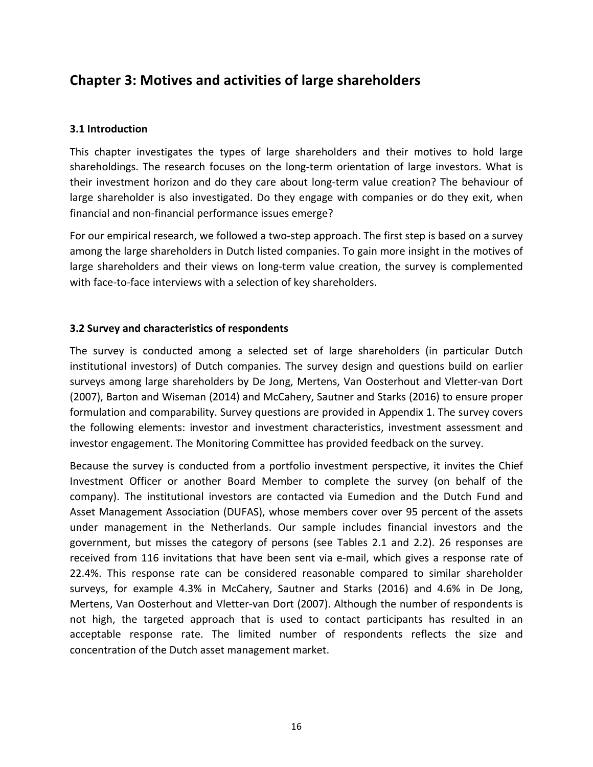## **Chapter 3: Motives and activities of large shareholders**

## **3.1 Introduction**

This chapter investigates the types of large shareholders and their motives to hold large shareholdings. The research focuses on the long-term orientation of large investors. What is their investment horizon and do they care about long-term value creation? The behaviour of large shareholder is also investigated. Do they engage with companies or do they exit, when financial and non-financial performance issues emerge?

For our empirical research, we followed a two-step approach. The first step is based on a survey among the large shareholders in Dutch listed companies. To gain more insight in the motives of large shareholders and their views on long-term value creation, the survey is complemented with face-to-face interviews with a selection of key shareholders.

## **3.2 Survey and characteristics of respondents**

The survey is conducted among a selected set of large shareholders (in particular Dutch institutional investors) of Dutch companies. The survey design and questions build on earlier surveys among large shareholders by De Jong, Mertens, Van Oosterhout and Vletter-van Dort (2007), Barton and Wiseman (2014) and McCahery, Sautner and Starks (2016) to ensure proper formulation and comparability. Survey questions are provided in Appendix 1. The survey covers the following elements: investor and investment characteristics, investment assessment and investor engagement. The Monitoring Committee has provided feedback on the survey.

Because the survey is conducted from a portfolio investment perspective, it invites the Chief Investment Officer or another Board Member to complete the survey (on behalf of the company). The institutional investors are contacted via Eumedion and the Dutch Fund and Asset Management Association (DUFAS), whose members cover over 95 percent of the assets under management in the Netherlands. Our sample includes financial investors and the government, but misses the category of persons (see Tables 2.1 and 2.2). 26 responses are received from 116 invitations that have been sent via e-mail, which gives a response rate of 22.4%. This response rate can be considered reasonable compared to similar shareholder surveys, for example 4.3% in McCahery, Sautner and Starks (2016) and 4.6% in De Jong, Mertens, Van Oosterhout and Vletter-van Dort (2007). Although the number of respondents is not high, the targeted approach that is used to contact participants has resulted in an acceptable response rate. The limited number of respondents reflects the size and concentration of the Dutch asset management market.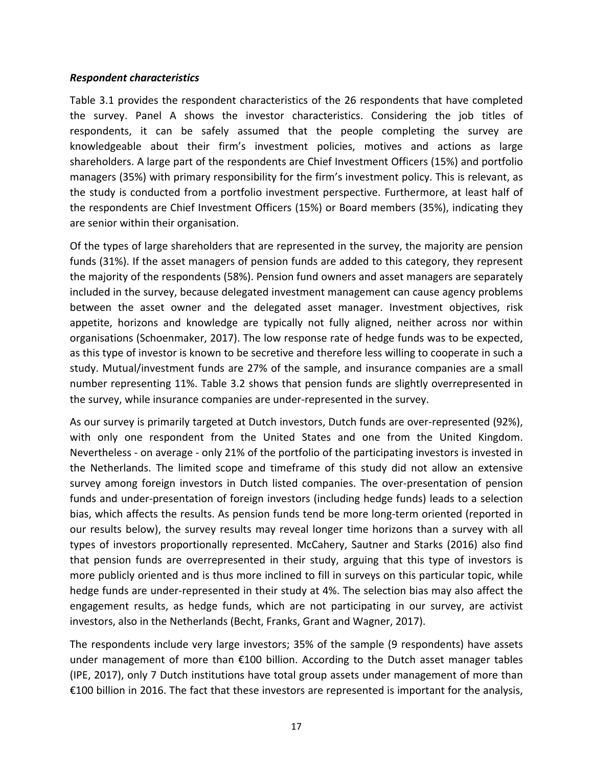#### *Respondent characteristics*

Table 3.1 provides the respondent characteristics of the 26 respondents that have completed the survey. Panel A shows the investor characteristics. Considering the job titles of respondents, it can be safely assumed that the people completing the survey are knowledgeable about their firm's investment policies, motives and actions as large shareholders. A large part of the respondents are Chief Investment Officers (15%) and portfolio managers (35%) with primary responsibility for the firm's investment policy. This is relevant, as the study is conducted from a portfolio investment perspective. Furthermore, at least half of the respondents are Chief Investment Officers (15%) or Board members (35%), indicating they are senior within their organisation.

Of the types of large shareholders that are represented in the survey, the majority are pension funds (31%). If the asset managers of pension funds are added to this category, they represent the majority of the respondents (58%). Pension fund owners and asset managers are separately included in the survey, because delegated investment management can cause agency problems between the asset owner and the delegated asset manager. Investment objectives, risk appetite, horizons and knowledge are typically not fully aligned, neither across nor within organisations (Schoenmaker, 2017). The low response rate of hedge funds was to be expected, as this type of investor is known to be secretive and therefore less willing to cooperate in such a study. Mutual/investment funds are 27% of the sample, and insurance companies are a small number representing 11%. Table 3.2 shows that pension funds are slightly overrepresented in the survey, while insurance companies are under-represented in the survey.

As our survey is primarily targeted at Dutch investors, Dutch funds are over-represented (92%), with only one respondent from the United States and one from the United Kingdom. Nevertheless - on average - only 21% of the portfolio of the participating investors is invested in the Netherlands. The limited scope and timeframe of this study did not allow an extensive survey among foreign investors in Dutch listed companies. The over-presentation of pension funds and under-presentation of foreign investors (including hedge funds) leads to a selection bias, which affects the results. As pension funds tend be more long-term oriented (reported in our results below), the survey results may reveal longer time horizons than a survey with all types of investors proportionally represented. McCahery, Sautner and Starks (2016) also find that pension funds are overrepresented in their study, arguing that this type of investors is more publicly oriented and is thus more inclined to fill in surveys on this particular topic, while hedge funds are under-represented in their study at 4%. The selection bias may also affect the engagement results, as hedge funds, which are not participating in our survey, are activist investors, also in the Netherlands (Becht, Franks, Grant and Wagner, 2017).

The respondents include very large investors; 35% of the sample (9 respondents) have assets under management of more than  $E100$  billion. According to the Dutch asset manager tables (IPE, 2017), only 7 Dutch institutions have total group assets under management of more than €100 billion in 2016. The fact that these investors are represented is important for the analysis,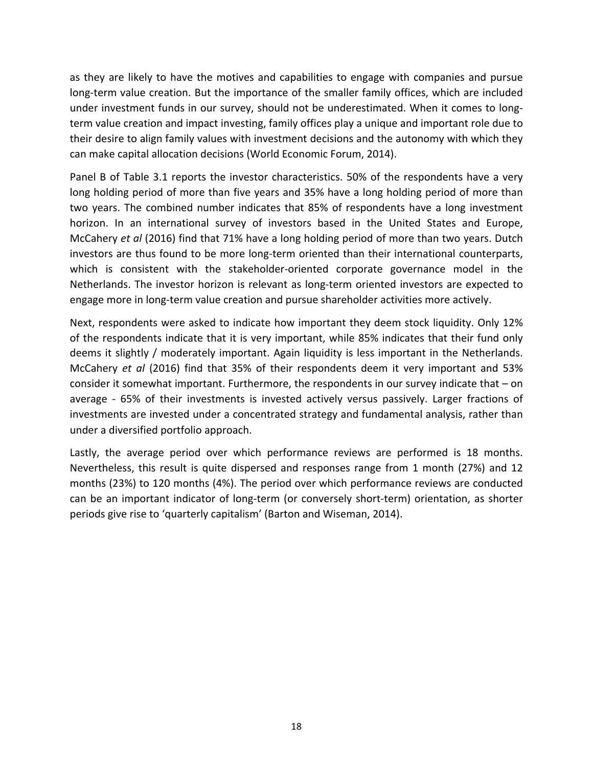as they are likely to have the motives and capabilities to engage with companies and pursue long-term value creation. But the importance of the smaller family offices, which are included under investment funds in our survey, should not be underestimated. When it comes to longterm value creation and impact investing, family offices play a unique and important role due to their desire to align family values with investment decisions and the autonomy with which they can make capital allocation decisions (World Economic Forum, 2014).

Panel B of Table 3.1 reports the investor characteristics. 50% of the respondents have a very long holding period of more than five years and 35% have a long holding period of more than two years. The combined number indicates that 85% of respondents have a long investment horizon. In an international survey of investors based in the United States and Europe, McCahery *et al* (2016) find that 71% have a long holding period of more than two years. Dutch investors are thus found to be more long-term oriented than their international counterparts, which is consistent with the stakeholder-oriented corporate governance model in the Netherlands. The investor horizon is relevant as long-term oriented investors are expected to engage more in long-term value creation and pursue shareholder activities more actively.

Next, respondents were asked to indicate how important they deem stock liquidity. Only 12% of the respondents indicate that it is very important, while 85% indicates that their fund only deems it slightly / moderately important. Again liquidity is less important in the Netherlands. McCahery *et al* (2016) find that 35% of their respondents deem it very important and 53% consider it somewhat important. Furthermore, the respondents in our survey indicate that  $-$  on average - 65% of their investments is invested actively versus passively. Larger fractions of investments are invested under a concentrated strategy and fundamental analysis, rather than under a diversified portfolio approach.

Lastly, the average period over which performance reviews are performed is 18 months. Nevertheless, this result is quite dispersed and responses range from 1 month (27%) and 12 months (23%) to 120 months (4%). The period over which performance reviews are conducted can be an important indicator of long-term (or conversely short-term) orientation, as shorter periods give rise to 'quarterly capitalism' (Barton and Wiseman, 2014).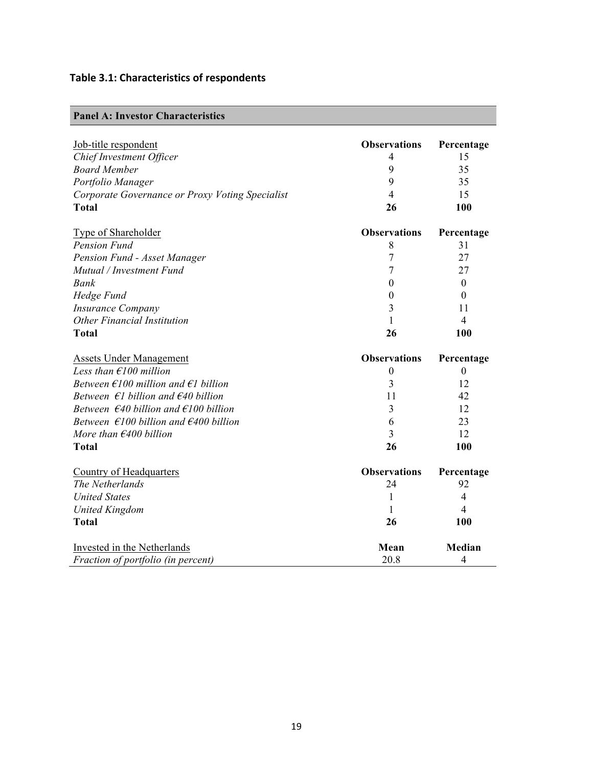## **Table 3.1: Characteristics of respondents**

| <b>Panel A: Investor Characteristics</b> |  |
|------------------------------------------|--|
|------------------------------------------|--|

| Job-title respondent                                      | <b>Observations</b> | Percentage     |
|-----------------------------------------------------------|---------------------|----------------|
| Chief Investment Officer                                  | 4                   | 15             |
| <b>Board Member</b>                                       | 9                   | 35             |
| Portfolio Manager                                         | 9                   | 35             |
| Corporate Governance or Proxy Voting Specialist           | 4                   | 15             |
| <b>Total</b>                                              | 26                  | 100            |
| Type of Shareholder                                       | <b>Observations</b> | Percentage     |
| <b>Pension Fund</b>                                       | 8                   | 31             |
| Pension Fund - Asset Manager                              | 7                   | 27             |
| Mutual / Investment Fund                                  | 7                   | 27             |
| Bank                                                      | $\boldsymbol{0}$    | $\overline{0}$ |
| Hedge Fund                                                | $\theta$            | $\theta$       |
| <b>Insurance Company</b>                                  | 3                   | 11             |
| <b>Other Financial Institution</b>                        | 1                   | $\overline{4}$ |
| <b>Total</b>                                              | 26                  | 100            |
|                                                           |                     |                |
| <b>Assets Under Management</b>                            | <b>Observations</b> | Percentage     |
| Less than $\epsilon$ 100 million                          | $\boldsymbol{0}$    | $\theta$       |
| Between $\epsilon$ 100 million and $\epsilon$ 1 billion   | 3                   | 12             |
| Between $\epsilon$ l billion and $\epsilon$ 40 billion    | 11                  | 42             |
| Between $\epsilon$ 40 billion and $\epsilon$ 100 billion  | 3                   | 12             |
| Between $\epsilon$ 100 billion and $\epsilon$ 400 billion | 6                   | 23             |
| More than $\epsilon$ 400 billion                          | 3                   | 12             |
| <b>Total</b>                                              | 26                  | 100            |
| Country of Headquarters                                   | <b>Observations</b> | Percentage     |
| The Netherlands                                           | 24                  | 92             |
| <b>United States</b>                                      | 1                   | $\overline{4}$ |
| <b>United Kingdom</b>                                     | 1                   | 4              |
| <b>Total</b>                                              | 26                  | 100            |
| Invested in the Netherlands                               | Mean                | Median         |
| Fraction of portfolio (in percent)                        | 20.8                | $\overline{4}$ |
|                                                           |                     |                |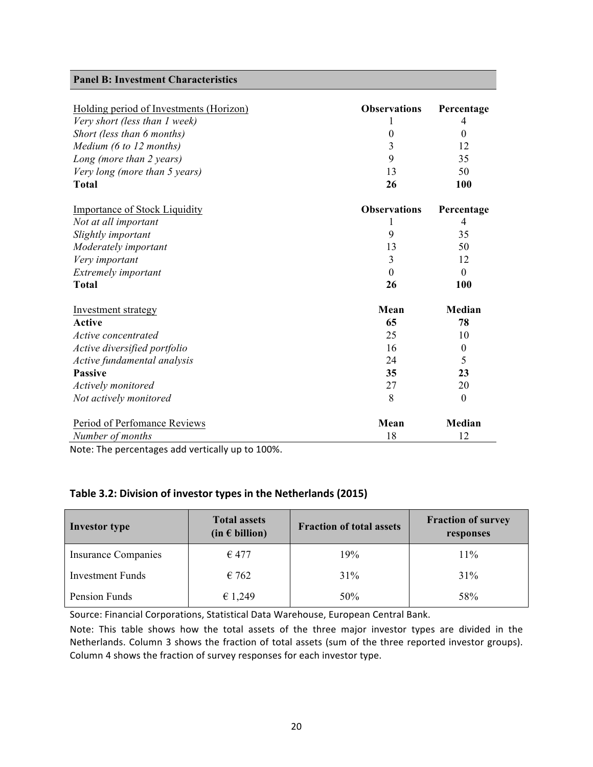#### **Panel B: Investment Characteristics**

| Holding period of Investments (Horizon) | <b>Observations</b> | Percentage       |
|-----------------------------------------|---------------------|------------------|
| Very short (less than 1 week)           |                     | 4                |
| Short (less than 6 months)              | $\boldsymbol{0}$    | $\theta$         |
| Medium (6 to 12 months)                 | 3                   | 12               |
| Long (more than 2 years)                | 9                   | 35               |
| Very long (more than 5 years)           | 13                  | 50               |
| <b>Total</b>                            | 26                  | 100              |
| <b>Importance of Stock Liquidity</b>    | <b>Observations</b> | Percentage       |
| Not at all important                    |                     | 4                |
| Slightly important                      | 9                   | 35               |
| Moderately important                    | 13                  | 50               |
| Very important                          | 3                   | 12               |
| Extremely important                     | $\theta$            | $\Omega$         |
| <b>Total</b>                            | 26                  | 100              |
| <b>Investment strategy</b>              | Mean                | Median           |
| Active                                  | 65                  | 78               |
| Active concentrated                     | 25                  | 10               |
| Active diversified portfolio            | 16                  | $\boldsymbol{0}$ |
| Active fundamental analysis             | 24                  | 5                |
| <b>Passive</b>                          | 35                  | 23               |
| Actively monitored                      | 27                  | 20               |
| Not actively monitored                  | 8                   | $\overline{0}$   |
| Period of Perfomance Reviews            | Mean                | Median           |
| Number of months                        | 18                  | 12               |

Note: The percentages add vertically up to 100%.

#### Table 3.2: Division of investor types in the Netherlands (2015)

| <b>Investor type</b>       | <b>Total assets</b><br>$(in \in billion)$ | <b>Fraction of total assets</b> | <b>Fraction of survey</b><br>responses |
|----------------------------|-------------------------------------------|---------------------------------|----------------------------------------|
| <b>Insurance Companies</b> | $\epsilon$ 477                            | 19%                             | $11\%$                                 |
| <b>Investment Funds</b>    | $\epsilon$ 762                            | 31%                             | 31%                                    |
| Pension Funds              | € 1,249                                   | 50%                             | 58%                                    |

Source: Financial Corporations, Statistical Data Warehouse, European Central Bank.

Note: This table shows how the total assets of the three major investor types are divided in the Netherlands. Column 3 shows the fraction of total assets (sum of the three reported investor groups). Column 4 shows the fraction of survey responses for each investor type.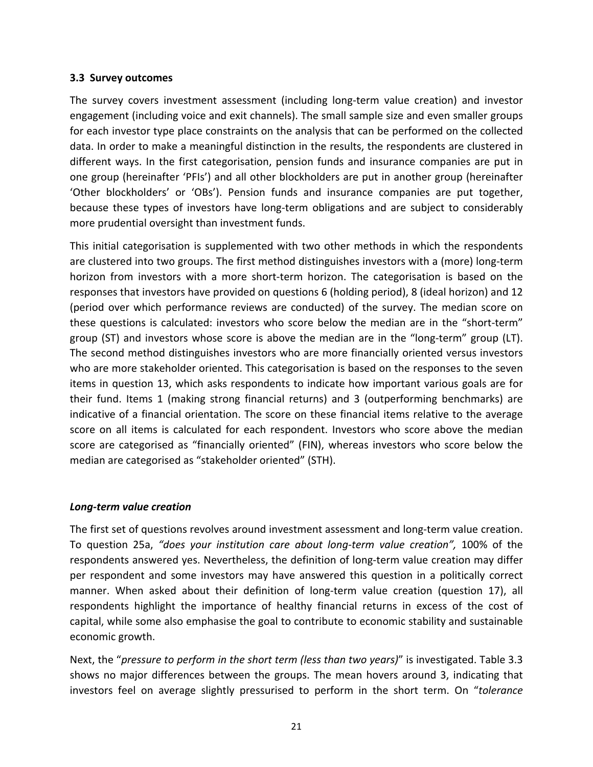#### **3.3 Survey outcomes**

The survey covers investment assessment (including long-term value creation) and investor engagement (including voice and exit channels). The small sample size and even smaller groups for each investor type place constraints on the analysis that can be performed on the collected data. In order to make a meaningful distinction in the results, the respondents are clustered in different ways. In the first categorisation, pension funds and insurance companies are put in one group (hereinafter 'PFIs') and all other blockholders are put in another group (hereinafter 'Other blockholders' or 'OBs'). Pension funds and insurance companies are put together, because these types of investors have long-term obligations and are subject to considerably more prudential oversight than investment funds.

This initial categorisation is supplemented with two other methods in which the respondents are clustered into two groups. The first method distinguishes investors with a (more) long-term horizon from investors with a more short-term horizon. The categorisation is based on the responses that investors have provided on questions 6 (holding period), 8 (ideal horizon) and 12 (period over which performance reviews are conducted) of the survey. The median score on these questions is calculated: investors who score below the median are in the "short-term" group (ST) and investors whose score is above the median are in the "long-term" group (LT). The second method distinguishes investors who are more financially oriented versus investors who are more stakeholder oriented. This categorisation is based on the responses to the seven items in question 13, which asks respondents to indicate how important various goals are for their fund. Items 1 (making strong financial returns) and 3 (outperforming benchmarks) are indicative of a financial orientation. The score on these financial items relative to the average score on all items is calculated for each respondent. Investors who score above the median score are categorised as "financially oriented" (FIN), whereas investors who score below the median are categorised as "stakeholder oriented" (STH).

#### *Long-term value creation*

The first set of questions revolves around investment assessment and long-term value creation. To question 25a, *"does your institution care about long-term value creation"*, 100% of the respondents answered yes. Nevertheless, the definition of long-term value creation may differ per respondent and some investors may have answered this question in a politically correct manner. When asked about their definition of long-term value creation (question 17), all respondents highlight the importance of healthy financial returns in excess of the cost of capital, while some also emphasise the goal to contribute to economic stability and sustainable economic growth.

Next, the "*pressure to perform in the short term (less than two years)*" is investigated. Table 3.3 shows no major differences between the groups. The mean hovers around 3, indicating that investors feel on average slightly pressurised to perform in the short term. On "*tolerance*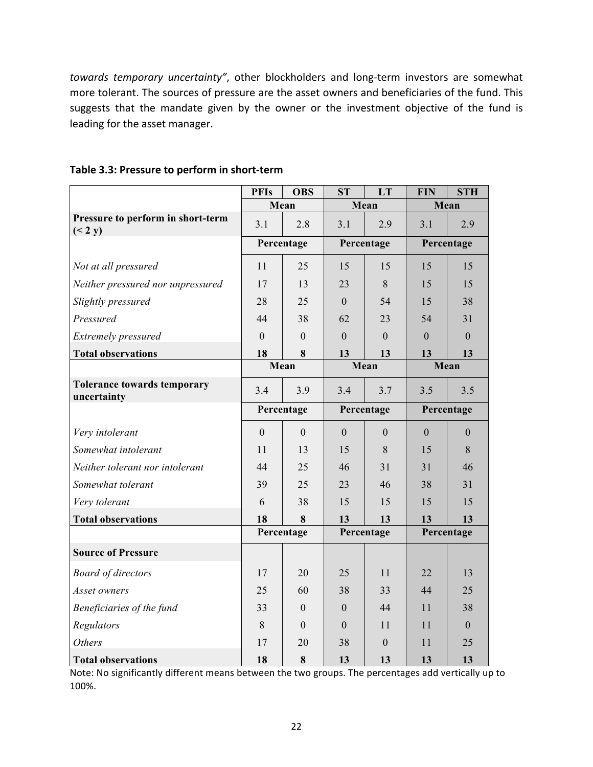towards temporary uncertainty", other blockholders and long-term investors are somewhat more tolerant. The sources of pressure are the asset owners and beneficiaries of the fund. This suggests that the mandate given by the owner or the investment objective of the fund is leading for the asset manager.

|                                              | <b>PFIs</b>    | <b>OBS</b>       | <b>ST</b>      | LT           | <b>FIN</b> | <b>STH</b>     |
|----------------------------------------------|----------------|------------------|----------------|--------------|------------|----------------|
|                                              |                | Mean             | Mean           |              | Mean       |                |
| Pressure to perform in short-term<br>(< 2 y) | 3.1            | 2.8              | 3.1            | 2.9          | 3.1        | 2.9            |
|                                              |                | Percentage       |                | Percentage   |            | Percentage     |
| Not at all pressured                         | 11             | 25               | 15             | 15           | 15         | 15             |
| Neither pressured nor unpressured            | 17             | 13               | 23             | 8            | 15         | 15             |
| Slightly pressured                           | 28             | 25               | $\mathbf{0}$   | 54           | 15         | 38             |
| Pressured                                    | 44             | 38               | 62             | 23           | 54         | 31             |
| Extremely pressured                          | $\theta$       | $\Omega$         | $\theta$       | $\theta$     | $\Omega$   | $\overline{0}$ |
| <b>Total observations</b>                    | 18             | 8                | 13             | 13           | 13         | 13             |
|                                              |                | Mean             |                | Mean         | Mean       |                |
| Tolerance towards temporary<br>uncertainty   | 3.4            | 3.9              | 3.4            | 3.7          | 3.5        | 3.5            |
|                                              |                | Percentage       | Percentage     |              | Percentage |                |
| Very intolerant                              | $\overline{0}$ | $\overline{0}$   | $\overline{0}$ | $\mathbf{0}$ | $\theta$   | $\overline{0}$ |
| Somewhat intolerant                          | 11             | 13               | 15             | 8            | 15         | 8              |
| Neither tolerant nor intolerant              | 44             | 25               | 46             | 31           | 31         | 46             |
| Somewhat tolerant                            | 39             | 25               | 23             | 46           | 38         | 31             |
| Very tolerant                                | 6              | 38               | 15             | 15           | 15         | 15             |
| <b>Total observations</b>                    | 18             | 8                | 13             | 13           | 13         | 13             |
|                                              |                | Percentage       |                | Percentage   |            | Percentage     |
| <b>Source of Pressure</b>                    |                |                  |                |              |            |                |
| <b>Board of directors</b>                    | 17             | 20               | 25             | 11           | 22         | 13             |
| Asset owners                                 | 25             | 60               | 38             | 33           | 44         | 25             |
| Beneficiaries of the fund                    | 33             | $\boldsymbol{0}$ | $\mathbf{0}$   | 44           | 11         | 38             |
| Regulators                                   | 8              | $\theta$         | $\overline{0}$ | 11           | 11         | $\overline{0}$ |
| <b>Others</b>                                | 17             | 20               | 38             | $\theta$     | 11         | 25             |
| <b>Total observations</b>                    | 18             | 8                | 13             | 13           | 13         | 13             |

#### **Table 3.3: Pressure to perform in short-term**

Note: No significantly different means between the two groups. The percentages add vertically up to 100%.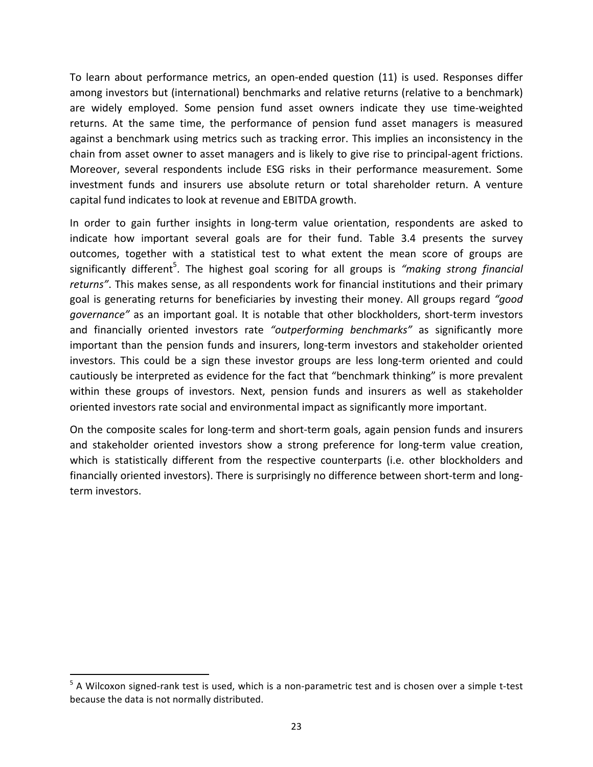To learn about performance metrics, an open-ended question (11) is used. Responses differ among investors but (international) benchmarks and relative returns (relative to a benchmark) are widely employed. Some pension fund asset owners indicate they use time-weighted returns. At the same time, the performance of pension fund asset managers is measured against a benchmark using metrics such as tracking error. This implies an inconsistency in the chain from asset owner to asset managers and is likely to give rise to principal-agent frictions. Moreover, several respondents include ESG risks in their performance measurement. Some investment funds and insurers use absolute return or total shareholder return. A venture capital fund indicates to look at revenue and EBITDA growth.

In order to gain further insights in long-term value orientation, respondents are asked to indicate how important several goals are for their fund. Table 3.4 presents the survey outcomes, together with a statistical test to what extent the mean score of groups are significantly different<sup>5</sup>. The highest goal scoring for all groups is *"making strong financial returns*". This makes sense, as all respondents work for financial institutions and their primary goal is generating returns for beneficiaries by investing their money. All groups regard "good *governance"* as an important goal. It is notable that other blockholders, short-term investors and financially oriented investors rate "outperforming benchmarks" as significantly more important than the pension funds and insurers, long-term investors and stakeholder oriented investors. This could be a sign these investor groups are less long-term oriented and could cautiously be interpreted as evidence for the fact that "benchmark thinking" is more prevalent within these groups of investors. Next, pension funds and insurers as well as stakeholder oriented investors rate social and environmental impact as significantly more important.

On the composite scales for long-term and short-term goals, again pension funds and insurers and stakeholder oriented investors show a strong preference for long-term value creation, which is statistically different from the respective counterparts (i.e. other blockholders and financially oriented investors). There is surprisingly no difference between short-term and longterm investors.

<u> 1989 - Johann Stein, markin film yn y breninn y breninn y breninn y breninn y breninn y breninn y breninn y b</u>

 $5$  A Wilcoxon signed-rank test is used, which is a non-parametric test and is chosen over a simple t-test because the data is not normally distributed.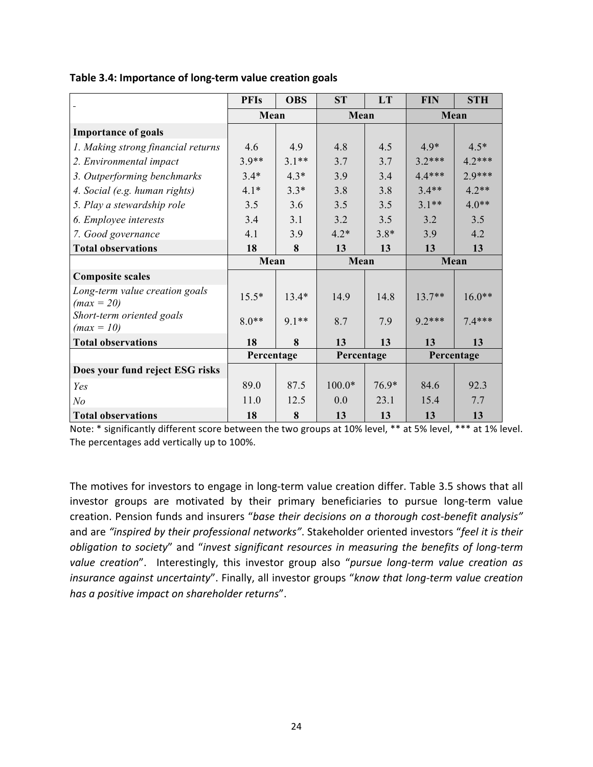|                                                | <b>PFIs</b> | <b>OBS</b> | <b>ST</b>  | LT     | <b>FIN</b> | <b>STH</b> |
|------------------------------------------------|-------------|------------|------------|--------|------------|------------|
|                                                | Mean        |            |            | Mean   |            | Mean       |
| <b>Importance of goals</b>                     |             |            |            |        |            |            |
| 1. Making strong financial returns             | 4.6         | 4.9        | 4.8        | 4.5    | $4.9*$     | $4.5*$     |
| 2. Environmental impact                        | $3.9**$     | $3.1**$    | 3.7        | 3.7    | $3.2***$   | $4.2***$   |
| 3. Outperforming benchmarks                    | $3.4*$      | $4.3*$     | 3.9        | 3.4    | $4.4***$   | $2.9***$   |
| 4. Social (e.g. human rights)                  | $4.1*$      | $3.3*$     | 3.8        | 3.8    | $3.4**$    | $4.2**$    |
| 5. Play a stewardship role                     | 3.5         | 3.6        | 3.5        | 3.5    | $3.1**$    | $4.0**$    |
| 6. Employee interests                          | 3.4         | 3.1        | 3.2        | 3.5    | 3.2        | 3.5        |
| 7. Good governance                             | 4.1         | 3.9        | $4.2*$     | $3.8*$ | 3.9        | 4.2        |
| <b>Total observations</b>                      | 18          | 8          | 13         | 13     | 13         | 13         |
|                                                | Mean        |            | Mean       |        | Mean       |            |
| <b>Composite scales</b>                        |             |            |            |        |            |            |
| Long-term value creation goals<br>$(max = 20)$ | $15.5*$     | $13.4*$    | 14.9       | 14.8   | $13.7**$   | $16.0**$   |
| Short-term oriented goals<br>$(max = 10)$      | $8.0**$     | $9.1**$    | 8.7        | 7.9    | $9.2***$   | $7.4***$   |
| <b>Total observations</b>                      | 18          | 8          | 13         | 13     | 13         | 13         |
|                                                | Percentage  |            | Percentage |        |            | Percentage |
| Does your fund reject ESG risks                |             |            |            |        |            |            |
| Yes                                            | 89.0        | 87.5       | $100.0*$   | 76.9*  | 84.6       | 92.3       |
| N <sub>o</sub>                                 | 11.0        | 12.5       | 0.0        | 23.1   | 15.4       | 7.7        |
| <b>Total observations</b>                      | 18          | 8          | 13         | 13     | 13         | 13         |

Table 3.4: Importance of long-term value creation goals

Note: \* significantly different score between the two groups at 10% level, \*\* at 5% level, \*\*\* at 1% level. The percentages add vertically up to 100%.

The motives for investors to engage in long-term value creation differ. Table 3.5 shows that all investor groups are motivated by their primary beneficiaries to pursue long-term value creation. Pension funds and insurers "base their decisions on a thorough cost-benefit analysis" and are "inspired by their professional networks". Stakeholder oriented investors "feel it is their *obligation to society*" and "*invest significant resources in measuring the benefits of long-term value* creation". Interestingly, this investor group also "pursue long-term value creation as *insurance against uncertainty*". Finally, all investor groups "know that long-term value creation *has a positive impact on shareholder returns*".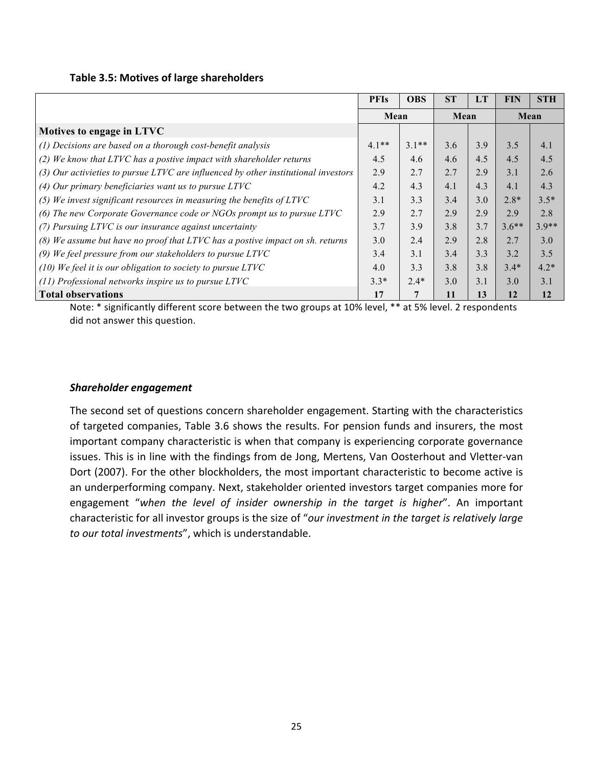#### **Table 3.5: Motives of large shareholders**

|                                                                                      | <b>PFIs</b> | <b>OBS</b> | <b>ST</b> | <b>LT</b> | <b>FIN</b> | <b>STH</b> |
|--------------------------------------------------------------------------------------|-------------|------------|-----------|-----------|------------|------------|
|                                                                                      | Mean        |            | Mean      |           |            | Mean       |
| Motives to engage in LTVC                                                            |             |            |           |           |            |            |
| (1) Decisions are based on a thorough cost-benefit analysis                          | $4.1**$     | $3.1**$    | 3.6       | 3.9       | 3.5        | 4.1        |
| $(2)$ We know that LTVC has a postive impact with shareholder returns                | 4.5         | 4.6        | 4.6       | 4.5       | 4.5        | 4.5        |
| $(3)$ Our activieties to pursue LTVC are influenced by other institutional investors | 2.9         | 2.7        | 2.7       | 2.9       | 3.1        | 2.6        |
| (4) Our primary beneficiaries want us to pursue $LTVC$                               | 4.2         | 4.3        | 4.1       | 4.3       | 4.1        | 4.3        |
| (5) We invest significant resources in measuring the benefits of $LTVC$              | 3.1         | 3.3        | 3.4       | 3.0       | $2.8*$     | $3.5*$     |
| (6) The new Corporate Governance code or NGOs prompt us to pursue LTVC               | 2.9         | 2.7        | 2.9       | 2.9       | 2.9        | 2.8        |
| (7) Pursuing LTVC is our insurance against uncertainty                               | 3.7         | 3.9        | 3.8       | 3.7       | $3.6**$    | $3.9**$    |
| (8) We assume but have no proof that LTVC has a postive impact on sh. returns        | 3.0         | 2.4        | 2.9       | 2.8       | 2.7        | 3.0        |
| (9) We feel pressure from our stakeholders to pursue $LTVC$                          | 3.4         | 3.1        | 3.4       | 3.3       | 3.2        | 3.5        |
| $(10)$ We feel it is our obligation to society to pursue LTVC                        | 4.0         | 3.3        | 3.8       | 3.8       | $3.4*$     | $4.2*$     |
| $(11)$ Professional networks inspire us to pursue LTVC                               | $3.3*$      | $2.4*$     | 3.0       | 3.1       | 3.0        | 3.1        |
| <b>Total observations</b>                                                            | 17          | 7          | 11        | 13        | 12         | 12         |

Note: \* significantly different score between the two groups at 10% level, \*\* at 5% level. 2 respondents did not answer this question.

#### *Shareholder engagement*

The second set of questions concern shareholder engagement. Starting with the characteristics of targeted companies, Table 3.6 shows the results. For pension funds and insurers, the most important company characteristic is when that company is experiencing corporate governance issues. This is in line with the findings from de Jong, Mertens, Van Oosterhout and Vletter-van Dort (2007). For the other blockholders, the most important characteristic to become active is an underperforming company. Next, stakeholder oriented investors target companies more for engagement "when the level of insider ownership in the target is higher". An important characteristic for all investor groups is the size of "our investment in the target is relatively large to our total investments", which is understandable.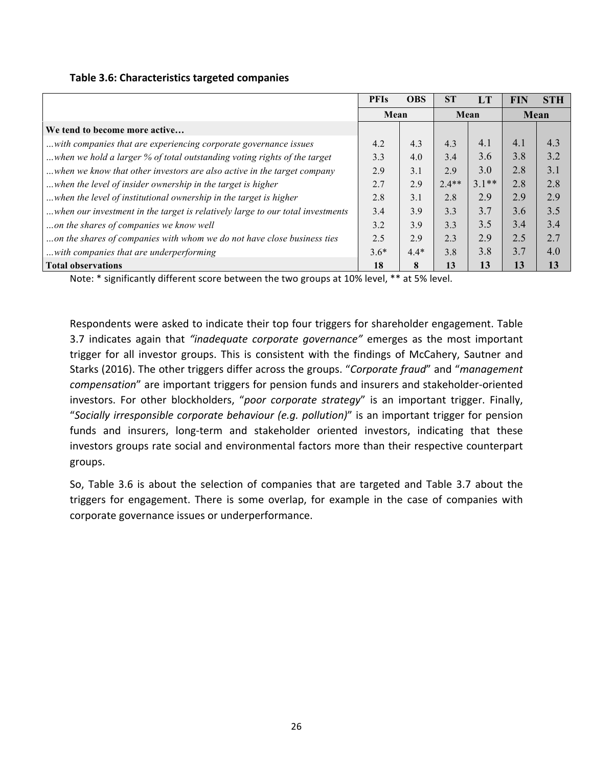|                                                                                | <b>PFIs</b> | <b>OBS</b> | <b>ST</b> | LT      | <b>FIN</b> | <b>STH</b> |
|--------------------------------------------------------------------------------|-------------|------------|-----------|---------|------------|------------|
|                                                                                | Mean        |            | Mean      |         |            | Mean       |
| We tend to become more active                                                  |             |            |           |         |            |            |
| with companies that are experiencing corporate governance issues               | 4.2         | 4.3        | 4.3       | 4.1     | 4.1        | 4.3        |
| when we hold a larger % of total outstanding voting rights of the target       | 3.3         | 4.0        | 3.4       | 3.6     | 3.8        | 3.2        |
| when we know that other investors are also active in the target company        | 2.9         | 3.1        | 2.9       | 3.0     | 2.8        | 3.1        |
| when the level of insider ownership in the target is higher                    | 2.7         | 2.9        | $2.4**$   | $3.1**$ | 2.8        | 2.8        |
| when the level of institutional ownership in the target is higher              | 2.8         | 3.1        | 2.8       | 2.9     | 2.9        | 2.9        |
| when our investment in the target is relatively large to our total investments | 3.4         | 3.9        | 3.3       | 3.7     | 3.6        | 3.5        |
| on the shares of companies we know well                                        | 3.2         | 3.9        | 3.3       | 3.5     | 3.4        | 3.4        |
| on the shares of companies with whom we do not have close business ties        | 2.5         | 2.9        | 2.3       | 2.9     | 2.5        | 2.7        |
| with companies that are underperforming                                        | $3.6*$      | $4.4*$     | 3.8       | 3.8     | 3.7        | 4.0        |
| <b>Total observations</b>                                                      | 18          | 8          | 13        | 13      | 13         | 13         |

Note: \* significantly different score between the two groups at 10% level, \*\* at 5% level.

Respondents were asked to indicate their top four triggers for shareholder engagement. Table 3.7 indicates again that "inadequate corporate governance" emerges as the most important trigger for all investor groups. This is consistent with the findings of McCahery, Sautner and Starks (2016). The other triggers differ across the groups. "Corporate fraud" and "management *compensation*" are important triggers for pension funds and insurers and stakeholder-oriented investors. For other blockholders, "poor corporate strategy" is an important trigger. Finally, "Socially irresponsible corporate behaviour (e.g. pollution)" is an important trigger for pension funds and insurers, long-term and stakeholder oriented investors, indicating that these investors groups rate social and environmental factors more than their respective counterpart groups.

So, Table 3.6 is about the selection of companies that are targeted and Table 3.7 about the triggers for engagement. There is some overlap, for example in the case of companies with corporate governance issues or underperformance.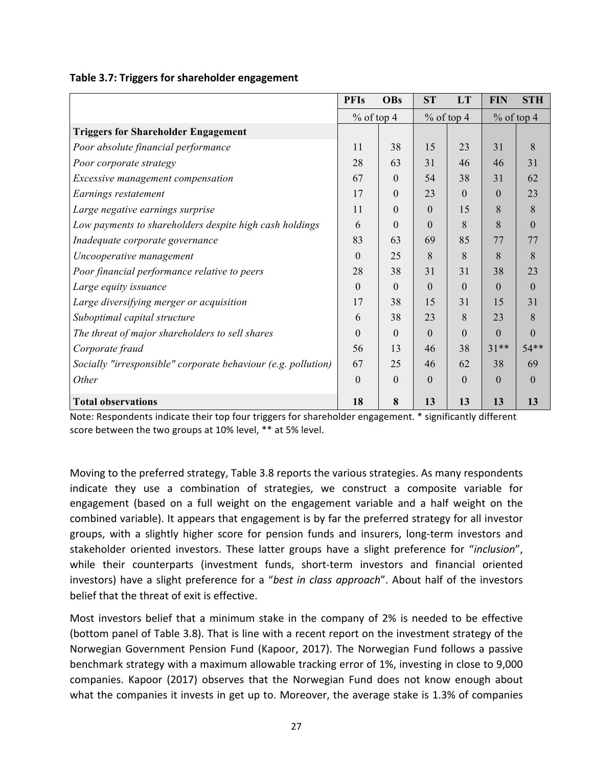| Table 3.7: Triggers for shareholder engagement |  |  |
|------------------------------------------------|--|--|
|------------------------------------------------|--|--|

|                                                               | <b>PFIs</b>   | <b>OBs</b> | <b>ST</b>        | LT       | <b>FIN</b>   | <b>STH</b>   |
|---------------------------------------------------------------|---------------|------------|------------------|----------|--------------|--------------|
|                                                               | $\%$ of top 4 |            | $%$ of top 4     |          | $%$ of top 4 |              |
| <b>Triggers for Shareholder Engagement</b>                    |               |            |                  |          |              |              |
| Poor absolute financial performance                           | 11            | 38         | 15               | 23       | 31           | 8            |
| Poor corporate strategy                                       | 28            | 63         | 31               | 46       | 46           | 31           |
| Excessive management compensation                             | 67            | $\theta$   | 54               | 38       | 31           | 62           |
| Earnings restatement                                          | 17            | $\Omega$   | 23               | $\Omega$ | $\Omega$     | 23           |
| Large negative earnings surprise                              | 11            | $\theta$   | $\theta$         | 15       | 8            | 8            |
| Low payments to shareholders despite high cash holdings       | 6             | $\Omega$   | $\theta$         | 8        | 8            | $\mathbf{0}$ |
| Inadequate corporate governance                               | 83            | 63         | 69               | 85       | 77           | 77           |
| Uncooperative management                                      | $\theta$      | 25         | 8                | 8        | 8            | 8            |
| Poor financial performance relative to peers                  | 28            | 38         | 31               | 31       | 38           | 23           |
| Large equity issuance                                         | $\theta$      | $\Omega$   | $\boldsymbol{0}$ | $\Omega$ | $\Omega$     | $\theta$     |
| Large diversifying merger or acquisition                      | 17            | 38         | 15               | 31       | 15           | 31           |
| Suboptimal capital structure                                  | 6             | 38         | 23               | 8        | 23           | 8            |
| The threat of major shareholders to sell shares               | $\theta$      | $\Omega$   | $\Omega$         | $\Omega$ | $\Omega$     | 0            |
| Corporate fraud                                               | 56            | 13         | 46               | 38       | $31**$       | $54**$       |
| Socially "irresponsible" corporate behaviour (e.g. pollution) | 67            | 25         | 46               | 62       | 38           | 69           |
| Other                                                         | $\theta$      | $\theta$   | $\theta$         | $\Omega$ | $\theta$     | $\mathbf{0}$ |
| <b>Total observations</b>                                     | 18            | 8          | 13               | 13       | 13           | 13           |

Note: Respondents indicate their top four triggers for shareholder engagement. \* significantly different score between the two groups at 10% level, \*\* at 5% level.

Moving to the preferred strategy, Table 3.8 reports the various strategies. As many respondents indicate they use a combination of strategies, we construct a composite variable for engagement (based on a full weight on the engagement variable and a half weight on the combined variable). It appears that engagement is by far the preferred strategy for all investor groups, with a slightly higher score for pension funds and insurers, long-term investors and stakeholder oriented investors. These latter groups have a slight preference for "*inclusion*", while their counterparts (investment funds, short-term investors and financial oriented investors) have a slight preference for a "best in class approach". About half of the investors belief that the threat of exit is effective.

Most investors belief that a minimum stake in the company of 2% is needed to be effective (bottom panel of Table 3.8). That is line with a recent report on the investment strategy of the Norwegian Government Pension Fund (Kapoor, 2017). The Norwegian Fund follows a passive benchmark strategy with a maximum allowable tracking error of 1%, investing in close to 9,000 companies. Kapoor (2017) observes that the Norwegian Fund does not know enough about what the companies it invests in get up to. Moreover, the average stake is 1.3% of companies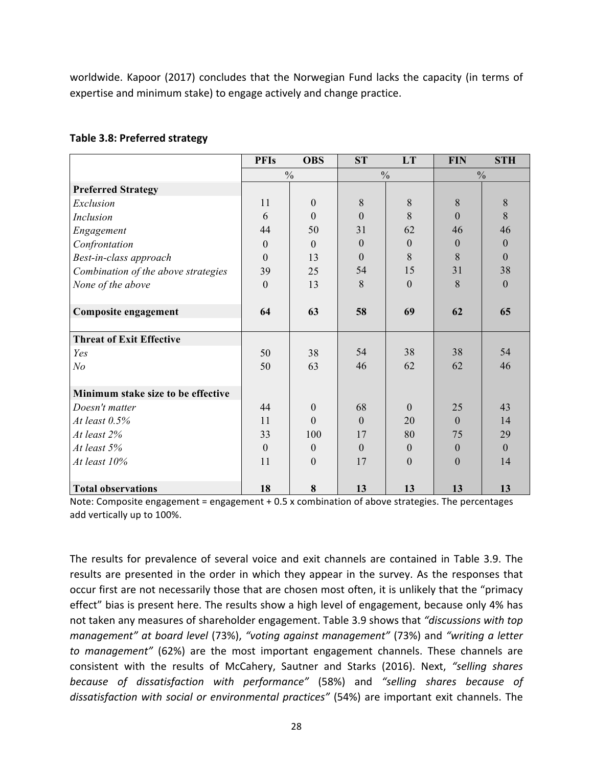worldwide. Kapoor (2017) concludes that the Norwegian Fund lacks the capacity (in terms of expertise and minimum stake) to engage actively and change practice.

|  |  | Table 3.8: Preferred strategy |  |
|--|--|-------------------------------|--|
|--|--|-------------------------------|--|

|                                     | <b>PFIs</b>   | <b>OBS</b>     | <b>ST</b>      | LT               | <b>FIN</b>     | <b>STH</b>   |
|-------------------------------------|---------------|----------------|----------------|------------------|----------------|--------------|
|                                     | $\frac{0}{0}$ |                | $\frac{0}{0}$  |                  | $\frac{0}{0}$  |              |
| <b>Preferred Strategy</b>           |               |                |                |                  |                |              |
| Exclusion                           | 11            | $\Omega$       | 8              | 8                | 8              | 8            |
| Inclusion                           | 6             | $\Omega$       | $\overline{0}$ | 8                | $\overline{0}$ | 8            |
| Engagement                          | 44            | 50             | 31             | 62               | 46             | 46           |
| Confrontation                       | $\theta$      | $\overline{0}$ | $\theta$       | $\boldsymbol{0}$ | $\theta$       | $\theta$     |
| Best-in-class approach              | $\theta$      | 13             | $\Omega$       | 8                | 8              | $\Omega$     |
| Combination of the above strategies | 39            | 25             | 54             | 15               | 31             | 38           |
| None of the above                   | $\mathbf{0}$  | 13             | 8              | $\theta$         | 8              | $\theta$     |
|                                     |               |                |                |                  |                |              |
| Composite engagement                | 64            | 63             | 58             | 69               | 62             | 65           |
|                                     |               |                |                |                  |                |              |
| <b>Threat of Exit Effective</b>     |               |                |                |                  |                |              |
| Yes                                 | 50            | 38             | 54             | 38               | 38             | 54           |
| N <sub>o</sub>                      | 50            | 63             | 46             | 62               | 62             | 46           |
|                                     |               |                |                |                  |                |              |
| Minimum stake size to be effective  |               |                |                |                  |                |              |
| Doesn't matter                      | 44            | $\Omega$       | 68             | $\theta$         | 25             | 43           |
| At least $0.5%$                     | 11            | $\Omega$       | $\Omega$       | 20               | $\overline{0}$ | 14           |
| At least 2%                         | 33            | 100            | 17             | 80               | 75             | 29           |
| At least 5%                         | $\theta$      | $\theta$       | $\overline{0}$ | $\boldsymbol{0}$ | $\mathbf{0}$   | $\mathbf{0}$ |
| At least 10%                        | 11            | $\theta$       | 17             | $\theta$         | $\theta$       | 14           |
|                                     |               |                |                |                  |                |              |
| <b>Total observations</b>           | 18            | 8              | 13             | 13               | 13             | 13           |

Note: Composite engagement = engagement  $+$  0.5 x combination of above strategies. The percentages add vertically up to 100%.

The results for prevalence of several voice and exit channels are contained in Table 3.9. The results are presented in the order in which they appear in the survey. As the responses that occur first are not necessarily those that are chosen most often, it is unlikely that the "primacy effect" bias is present here. The results show a high level of engagement, because only 4% has not taken any measures of shareholder engagement. Table 3.9 shows that *"discussions with top management*" at board level (73%), "voting against management" (73%) and "writing a letter *to* management" (62%) are the most important engagement channels. These channels are consistent with the results of McCahery, Sautner and Starks (2016). Next, "selling shares *because of dissatisfaction with performance"* (58%) and *"selling shares because of*  dissatisfaction with social or environmental practices" (54%) are important exit channels. The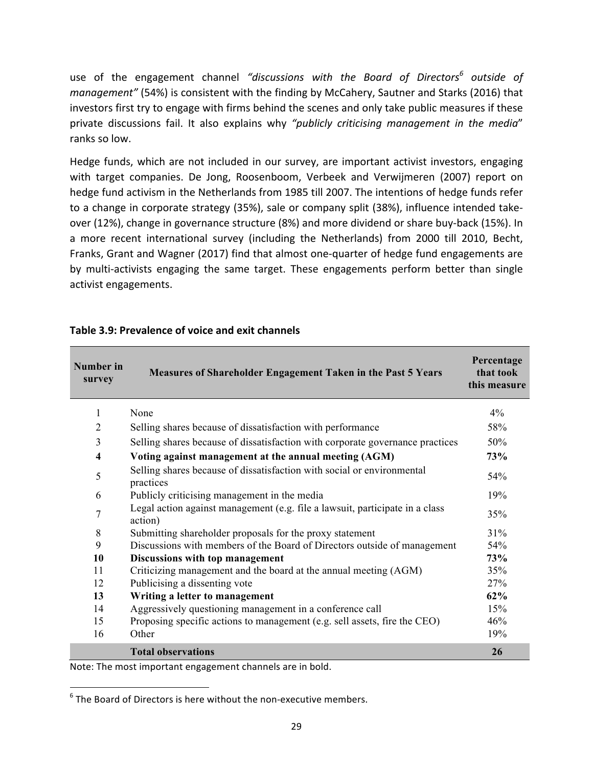use of the engagement channel *"discussions* with the Board of Directors<sup>6</sup> outside of *management"* (54%) is consistent with the finding by McCahery, Sautner and Starks (2016) that investors first try to engage with firms behind the scenes and only take public measures if these private discussions fail. It also explains why "publicly criticising management in the media" ranks so low.

Hedge funds, which are not included in our survey, are important activist investors, engaging with target companies. De Jong, Roosenboom, Verbeek and Verwijmeren (2007) report on hedge fund activism in the Netherlands from 1985 till 2007. The intentions of hedge funds refer to a change in corporate strategy (35%), sale or company split (38%), influence intended takeover (12%), change in governance structure (8%) and more dividend or share buy-back (15%). In a more recent international survey (including the Netherlands) from 2000 till 2010, Becht, Franks, Grant and Wagner (2017) find that almost one-quarter of hedge fund engagements are by multi-activists engaging the same target. These engagements perform better than single activist engagements.

| Number in<br>survey     | <b>Measures of Shareholder Engagement Taken in the Past 5 Years</b>                     | Percentage<br>that took<br>this measure |
|-------------------------|-----------------------------------------------------------------------------------------|-----------------------------------------|
| 1                       | None                                                                                    | 4%                                      |
| $\overline{2}$          | Selling shares because of dissatisfaction with performance                              | 58%                                     |
| 3                       | Selling shares because of dissatisfaction with corporate governance practices           | 50%                                     |
| $\overline{\mathbf{4}}$ | Voting against management at the annual meeting (AGM)                                   | 73%                                     |
| 5                       | Selling shares because of dissatisfaction with social or environmental<br>practices     | 54%                                     |
| 6                       | Publicly criticising management in the media                                            | 19%                                     |
| $\overline{7}$          | Legal action against management (e.g. file a lawsuit, participate in a class<br>action) | 35%                                     |
| 8                       | Submitting shareholder proposals for the proxy statement                                | 31%                                     |
| 9                       | Discussions with members of the Board of Directors outside of management                | 54%                                     |
| 10                      | Discussions with top management                                                         | 73%                                     |
| 11                      | Criticizing management and the board at the annual meeting (AGM)                        | 35%                                     |
| 12                      | Publicising a dissenting vote                                                           | 27%                                     |
| 13                      | Writing a letter to management                                                          | 62%                                     |
| 14                      | Aggressively questioning management in a conference call                                | 15%                                     |
| 15                      | Proposing specific actions to management (e.g. sell assets, fire the CEO)               | 46%                                     |
| 16                      | Other                                                                                   | 19%                                     |
|                         | <b>Total observations</b>                                                               | 26                                      |

#### **Table 3.9: Prevalence of voice and exit channels**

Note: The most important engagement channels are in bold.

<u> 1989 - Johann Stein, markin film yn y breninn y breninn y breninn y breninn y breninn y breninn y breninn y b</u>

 $6$  The Board of Directors is here without the non-executive members.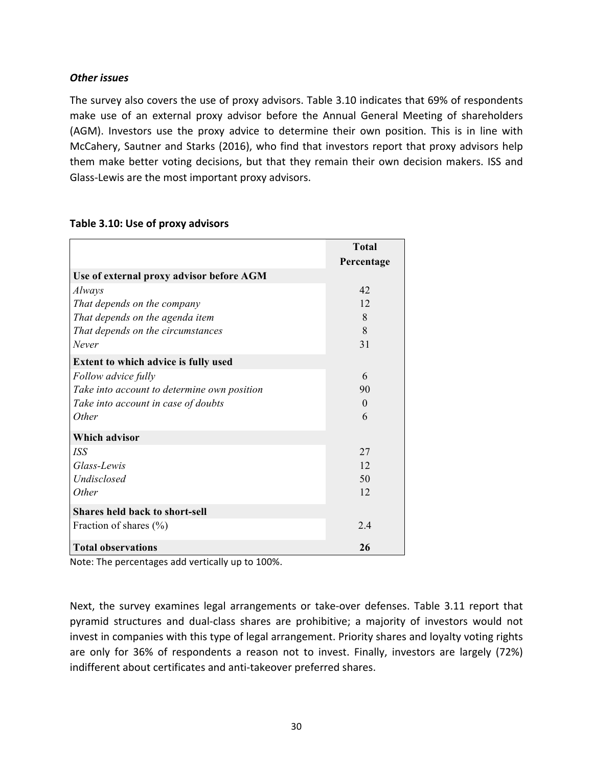## *Other issues*

The survey also covers the use of proxy advisors. Table 3.10 indicates that 69% of respondents make use of an external proxy advisor before the Annual General Meeting of shareholders (AGM). Investors use the proxy advice to determine their own position. This is in line with McCahery, Sautner and Starks (2016), who find that investors report that proxy advisors help them make better voting decisions, but that they remain their own decision makers. ISS and Glass-Lewis are the most important proxy advisors.

|                                             | <b>Total</b> |
|---------------------------------------------|--------------|
|                                             | Percentage   |
| Use of external proxy advisor before AGM    |              |
| Always                                      | 42           |
| That depends on the company                 | 12           |
| That depends on the agenda item             | 8            |
| That depends on the circumstances           | 8            |
| Never                                       | 31           |
| Extent to which advice is fully used        |              |
| Follow advice fully                         | 6            |
| Take into account to determine own position | 90           |
| Take into account in case of doubts         | $\Omega$     |
| <i>Other</i>                                | 6            |
| <b>Which advisor</b>                        |              |
| <i>ISS</i>                                  | 27           |
| Glass-Lewis                                 | 12           |
| Undisclosed                                 | 50           |
| <i>Other</i>                                | 12           |
| <b>Shares held back to short-sell</b>       |              |
| Fraction of shares (%)                      | 24           |
| <b>Total observations</b>                   | 26           |

#### Table 3.10: Use of proxy advisors

Note: The percentages add vertically up to 100%.

Next, the survey examines legal arrangements or take-over defenses. Table 3.11 report that pyramid structures and dual-class shares are prohibitive; a majority of investors would not invest in companies with this type of legal arrangement. Priority shares and loyalty voting rights are only for 36% of respondents a reason not to invest. Finally, investors are largely (72%) indifferent about certificates and anti-takeover preferred shares.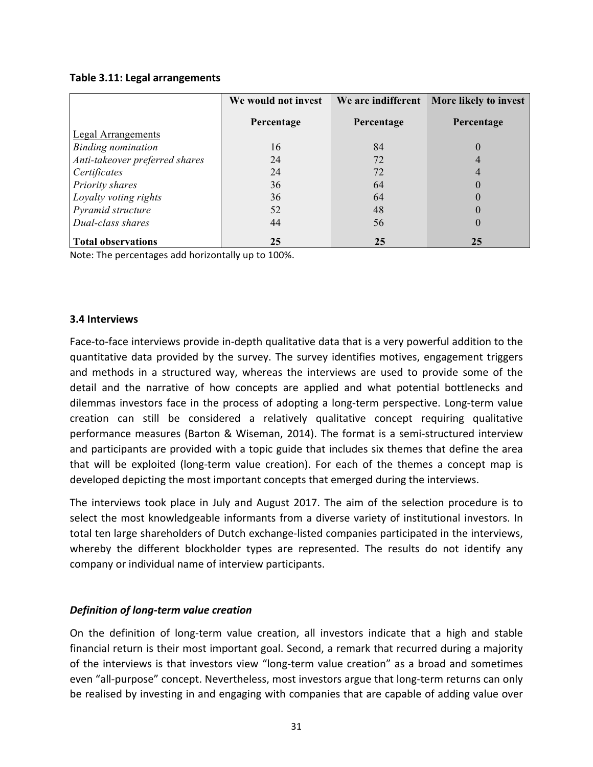#### **Table 3.11: Legal arrangements**

|                                | We would not invest | We are indifferent | More likely to invest |
|--------------------------------|---------------------|--------------------|-----------------------|
|                                | Percentage          | Percentage         | Percentage            |
| Legal Arrangements             |                     |                    |                       |
| <b>Binding nomination</b>      | 16                  | 84                 | 0                     |
| Anti-takeover preferred shares | 24                  | 72                 |                       |
| Certificates                   | 24                  | 72                 |                       |
| Priority shares                | 36                  | 64                 | 0                     |
| Loyalty voting rights          | 36                  | 64                 | 0                     |
| Pyramid structure              | 52                  | 48                 | $\theta$              |
| Dual-class shares              | 44                  | 56                 | $\theta$              |
| <b>Total observations</b>      | 25                  | 25                 | 25                    |

Note: The percentages add horizontally up to 100%.

#### **3.4 Interviews**

Face-to-face interviews provide in-depth qualitative data that is a very powerful addition to the quantitative data provided by the survey. The survey identifies motives, engagement triggers and methods in a structured way, whereas the interviews are used to provide some of the detail and the narrative of how concepts are applied and what potential bottlenecks and dilemmas investors face in the process of adopting a long-term perspective. Long-term value creation can still be considered a relatively qualitative concept requiring qualitative performance measures (Barton & Wiseman, 2014). The format is a semi-structured interview and participants are provided with a topic guide that includes six themes that define the area that will be exploited (long-term value creation). For each of the themes a concept map is developed depicting the most important concepts that emerged during the interviews.

The interviews took place in July and August 2017. The aim of the selection procedure is to select the most knowledgeable informants from a diverse variety of institutional investors. In total ten large shareholders of Dutch exchange-listed companies participated in the interviews, whereby the different blockholder types are represented. The results do not identify any company or individual name of interview participants.

#### *Definition of long-term value creation*

On the definition of long-term value creation, all investors indicate that a high and stable financial return is their most important goal. Second, a remark that recurred during a majority of the interviews is that investors view "long-term value creation" as a broad and sometimes even "all-purpose" concept. Nevertheless, most investors argue that long-term returns can only be realised by investing in and engaging with companies that are capable of adding value over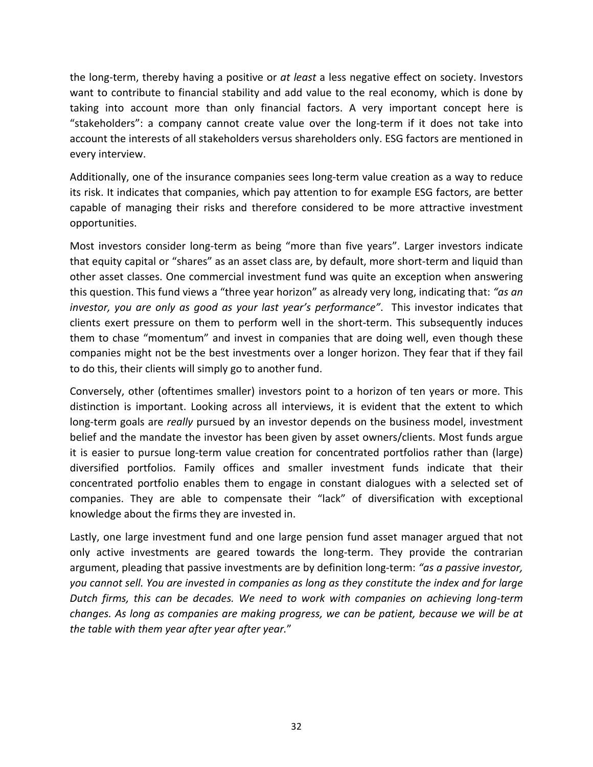the long-term, thereby having a positive or *at least* a less negative effect on society. Investors want to contribute to financial stability and add value to the real economy, which is done by taking into account more than only financial factors. A very important concept here is "stakeholders": a company cannot create value over the long-term if it does not take into account the interests of all stakeholders versus shareholders only. ESG factors are mentioned in every interview.

Additionally, one of the insurance companies sees long-term value creation as a way to reduce its risk. It indicates that companies, which pay attention to for example ESG factors, are better capable of managing their risks and therefore considered to be more attractive investment opportunities. 

Most investors consider long-term as being "more than five years". Larger investors indicate that equity capital or "shares" as an asset class are, by default, more short-term and liquid than other asset classes. One commercial investment fund was quite an exception when answering this question. This fund views a "three year horizon" as already very long, indicating that: "as an *investor, you are only as good as your last year's performance".* This investor indicates that clients exert pressure on them to perform well in the short-term. This subsequently induces them to chase "momentum" and invest in companies that are doing well, even though these companies might not be the best investments over a longer horizon. They fear that if they fail to do this, their clients will simply go to another fund.

Conversely, other (oftentimes smaller) investors point to a horizon of ten years or more. This distinction is important. Looking across all interviews, it is evident that the extent to which long-term goals are *really* pursued by an investor depends on the business model, investment belief and the mandate the investor has been given by asset owners/clients. Most funds argue it is easier to pursue long-term value creation for concentrated portfolios rather than (large) diversified portfolios. Family offices and smaller investment funds indicate that their concentrated portfolio enables them to engage in constant dialogues with a selected set of companies. They are able to compensate their "lack" of diversification with exceptional knowledge about the firms they are invested in.

Lastly, one large investment fund and one large pension fund asset manager argued that not only active investments are geared towards the long-term. They provide the contrarian argument, pleading that passive investments are by definition long-term: "as a passive investor, you cannot sell. You are invested in companies as long as they constitute the index and for large Dutch firms, this can be decades. We need to work with companies on achieving long-term *changes.* As long as companies are making progress, we can be patient, because we will be at the table with them year after year after year."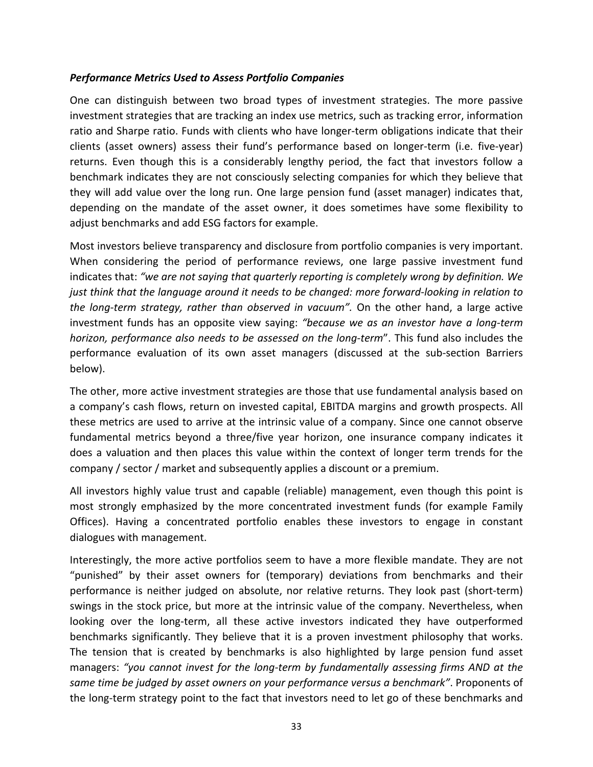## **Performance Metrics Used to Assess Portfolio Companies**

One can distinguish between two broad types of investment strategies. The more passive investment strategies that are tracking an index use metrics, such as tracking error, information ratio and Sharpe ratio. Funds with clients who have longer-term obligations indicate that their clients (asset owners) assess their fund's performance based on longer-term (i.e. five-year) returns. Even though this is a considerably lengthy period, the fact that investors follow a benchmark indicates they are not consciously selecting companies for which they believe that they will add value over the long run. One large pension fund (asset manager) indicates that, depending on the mandate of the asset owner, it does sometimes have some flexibility to adjust benchmarks and add ESG factors for example.

Most investors believe transparency and disclosure from portfolio companies is very important. When considering the period of performance reviews, one large passive investment fund indicates that: "we are not saying that quarterly reporting is completely wrong by definition. We *just think that the language around it needs to be changed: more forward-looking in relation to the long-term strategy, rather than observed in vacuum"*. On the other hand, a large active investment funds has an opposite view saying: *"because we as an investor have a long-term horizon, performance also needs to be assessed on the long-term*". This fund also includes the performance evaluation of its own asset managers (discussed at the sub-section Barriers below).

The other, more active investment strategies are those that use fundamental analysis based on a company's cash flows, return on invested capital, EBITDA margins and growth prospects. All these metrics are used to arrive at the intrinsic value of a company. Since one cannot observe fundamental metrics beyond a three/five year horizon, one insurance company indicates it does a valuation and then places this value within the context of longer term trends for the company / sector / market and subsequently applies a discount or a premium.

All investors highly value trust and capable (reliable) management, even though this point is most strongly emphasized by the more concentrated investment funds (for example Family Offices). Having a concentrated portfolio enables these investors to engage in constant dialogues with management.

Interestingly, the more active portfolios seem to have a more flexible mandate. They are not "punished" by their asset owners for (temporary) deviations from benchmarks and their performance is neither judged on absolute, nor relative returns. They look past (short-term) swings in the stock price, but more at the intrinsic value of the company. Nevertheless, when looking over the long-term, all these active investors indicated they have outperformed benchmarks significantly. They believe that it is a proven investment philosophy that works. The tension that is created by benchmarks is also highlighted by large pension fund asset managers: "you cannot invest for the long-term by fundamentally assessing firms AND at the same time be judged by asset owners on your performance versus a benchmark". Proponents of the long-term strategy point to the fact that investors need to let go of these benchmarks and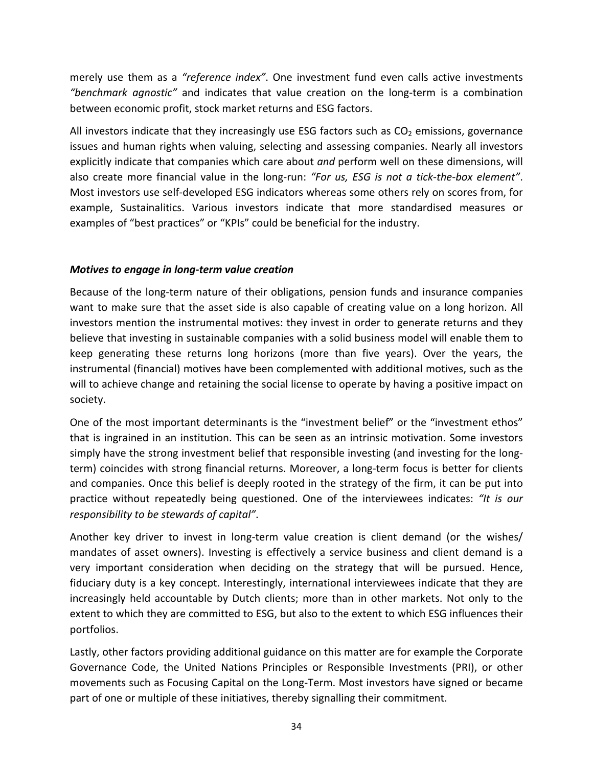merely use them as a "reference index". One investment fund even calls active investments *"benchmark agnostic"* and indicates that value creation on the long-term is a combination between economic profit, stock market returns and ESG factors.

All investors indicate that they increasingly use ESG factors such as  $CO<sub>2</sub>$  emissions, governance issues and human rights when valuing, selecting and assessing companies. Nearly all investors explicitly indicate that companies which care about *and* perform well on these dimensions, will also create more financial value in the long-run: "For us, ESG is not a tick-the-box element". Most investors use self-developed ESG indicators whereas some others rely on scores from, for example, Sustainalitics. Various investors indicate that more standardised measures or examples of "best practices" or "KPIs" could be beneficial for the industry.

## *Motives to engage in long-term value creation*

Because of the long-term nature of their obligations, pension funds and insurance companies want to make sure that the asset side is also capable of creating value on a long horizon. All investors mention the instrumental motives: they invest in order to generate returns and they believe that investing in sustainable companies with a solid business model will enable them to keep generating these returns long horizons (more than five years). Over the years, the instrumental (financial) motives have been complemented with additional motives, such as the will to achieve change and retaining the social license to operate by having a positive impact on society. 

One of the most important determinants is the "investment belief" or the "investment ethos" that is ingrained in an institution. This can be seen as an intrinsic motivation. Some investors simply have the strong investment belief that responsible investing (and investing for the longterm) coincides with strong financial returns. Moreover, a long-term focus is better for clients and companies. Once this belief is deeply rooted in the strategy of the firm, it can be put into practice without repeatedly being questioned. One of the interviewees indicates: "It is our *responsibility to be stewards of capital".* 

Another key driver to invest in long-term value creation is client demand (or the wishes/ mandates of asset owners). Investing is effectively a service business and client demand is a very important consideration when deciding on the strategy that will be pursued. Hence, fiduciary duty is a key concept. Interestingly, international interviewees indicate that they are increasingly held accountable by Dutch clients; more than in other markets. Not only to the extent to which they are committed to ESG, but also to the extent to which ESG influences their portfolios. 

Lastly, other factors providing additional guidance on this matter are for example the Corporate Governance Code, the United Nations Principles or Responsible Investments (PRI), or other movements such as Focusing Capital on the Long-Term. Most investors have signed or became part of one or multiple of these initiatives, thereby signalling their commitment.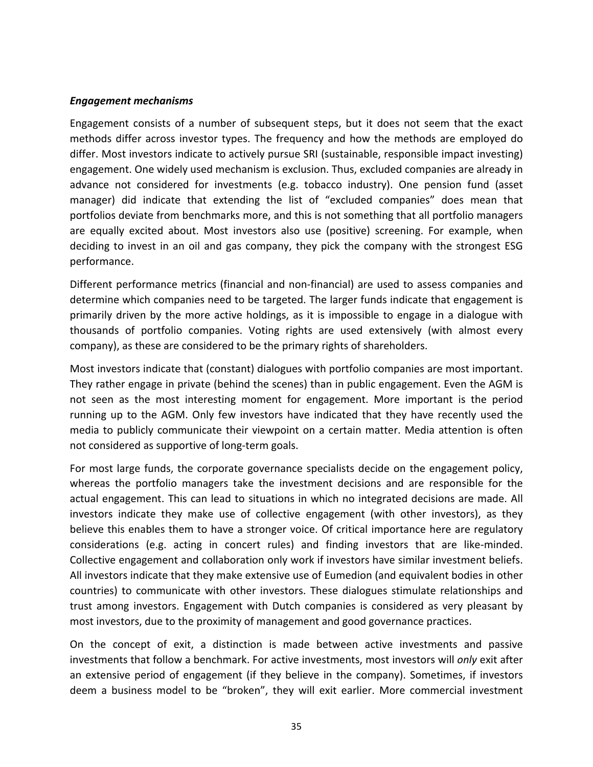#### *Engagement mechanisms*

Engagement consists of a number of subsequent steps, but it does not seem that the exact methods differ across investor types. The frequency and how the methods are employed do differ. Most investors indicate to actively pursue SRI (sustainable, responsible impact investing) engagement. One widely used mechanism is exclusion. Thus, excluded companies are already in advance not considered for investments (e.g. tobacco industry). One pension fund (asset manager) did indicate that extending the list of "excluded companies" does mean that portfolios deviate from benchmarks more, and this is not something that all portfolio managers are equally excited about. Most investors also use (positive) screening. For example, when deciding to invest in an oil and gas company, they pick the company with the strongest ESG performance. 

Different performance metrics (financial and non-financial) are used to assess companies and determine which companies need to be targeted. The larger funds indicate that engagement is primarily driven by the more active holdings, as it is impossible to engage in a dialogue with thousands of portfolio companies. Voting rights are used extensively (with almost every company), as these are considered to be the primary rights of shareholders.

Most investors indicate that (constant) dialogues with portfolio companies are most important. They rather engage in private (behind the scenes) than in public engagement. Even the AGM is not seen as the most interesting moment for engagement. More important is the period running up to the AGM. Only few investors have indicated that they have recently used the media to publicly communicate their viewpoint on a certain matter. Media attention is often not considered as supportive of long-term goals.

For most large funds, the corporate governance specialists decide on the engagement policy, whereas the portfolio managers take the investment decisions and are responsible for the actual engagement. This can lead to situations in which no integrated decisions are made. All investors indicate they make use of collective engagement (with other investors), as they believe this enables them to have a stronger voice. Of critical importance here are regulatory considerations (e.g. acting in concert rules) and finding investors that are like-minded. Collective engagement and collaboration only work if investors have similar investment beliefs. All investors indicate that they make extensive use of Eumedion (and equivalent bodies in other countries) to communicate with other investors. These dialogues stimulate relationships and trust among investors. Engagement with Dutch companies is considered as very pleasant by most investors, due to the proximity of management and good governance practices.

On the concept of exit, a distinction is made between active investments and passive investments that follow a benchmark. For active investments, most investors will *only* exit after an extensive period of engagement (if they believe in the company). Sometimes, if investors deem a business model to be "broken", they will exit earlier. More commercial investment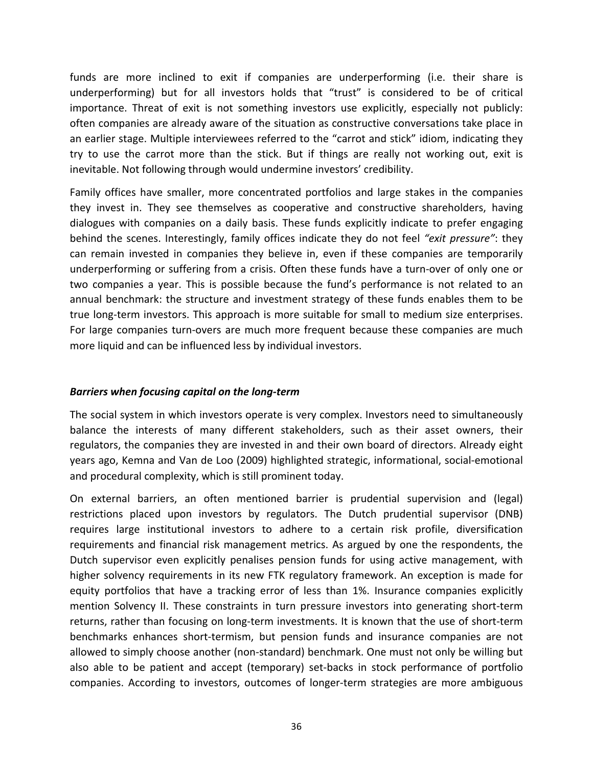funds are more inclined to exit if companies are underperforming (i.e. their share is underperforming) but for all investors holds that "trust" is considered to be of critical importance. Threat of exit is not something investors use explicitly, especially not publicly: often companies are already aware of the situation as constructive conversations take place in an earlier stage. Multiple interviewees referred to the "carrot and stick" idiom, indicating they try to use the carrot more than the stick. But if things are really not working out, exit is inevitable. Not following through would undermine investors' credibility.

Family offices have smaller, more concentrated portfolios and large stakes in the companies they invest in. They see themselves as cooperative and constructive shareholders, having dialogues with companies on a daily basis. These funds explicitly indicate to prefer engaging behind the scenes. Interestingly, family offices indicate they do not feel "exit pressure": they can remain invested in companies they believe in, even if these companies are temporarily underperforming or suffering from a crisis. Often these funds have a turn-over of only one or two companies a year. This is possible because the fund's performance is not related to an annual benchmark: the structure and investment strategy of these funds enables them to be true long-term investors. This approach is more suitable for small to medium size enterprises. For large companies turn-overs are much more frequent because these companies are much more liquid and can be influenced less by individual investors.

#### *Barriers when focusing capital on the long-term*

The social system in which investors operate is very complex. Investors need to simultaneously balance the interests of many different stakeholders, such as their asset owners, their regulators, the companies they are invested in and their own board of directors. Already eight years ago, Kemna and Van de Loo (2009) highlighted strategic, informational, social-emotional and procedural complexity, which is still prominent today.

On external barriers, an often mentioned barrier is prudential supervision and (legal) restrictions placed upon investors by regulators. The Dutch prudential supervisor (DNB) requires large institutional investors to adhere to a certain risk profile, diversification requirements and financial risk management metrics. As argued by one the respondents, the Dutch supervisor even explicitly penalises pension funds for using active management, with higher solvency requirements in its new FTK regulatory framework. An exception is made for equity portfolios that have a tracking error of less than 1%. Insurance companies explicitly mention Solvency II. These constraints in turn pressure investors into generating short-term returns, rather than focusing on long-term investments. It is known that the use of short-term benchmarks enhances short-termism, but pension funds and insurance companies are not allowed to simply choose another (non-standard) benchmark. One must not only be willing but also able to be patient and accept (temporary) set-backs in stock performance of portfolio companies. According to investors, outcomes of longer-term strategies are more ambiguous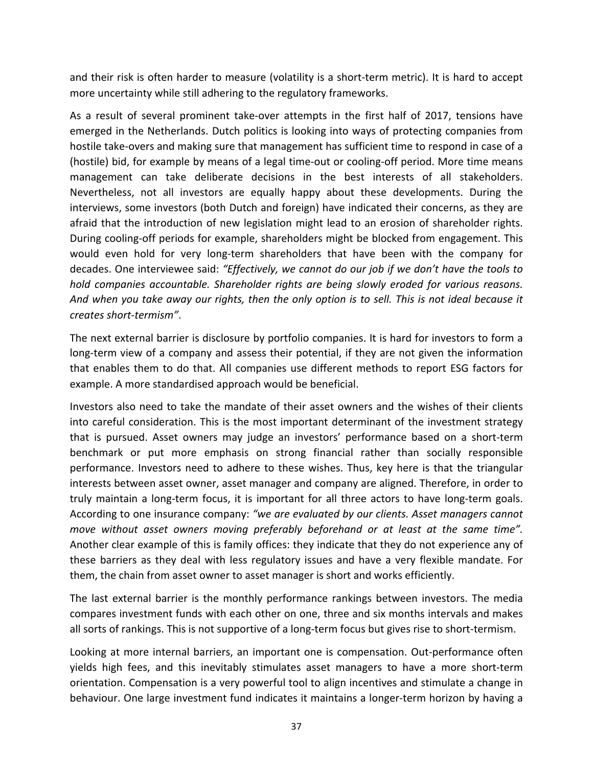and their risk is often harder to measure (volatility is a short-term metric). It is hard to accept more uncertainty while still adhering to the regulatory frameworks.

As a result of several prominent take-over attempts in the first half of 2017, tensions have emerged in the Netherlands. Dutch politics is looking into ways of protecting companies from hostile take-overs and making sure that management has sufficient time to respond in case of a (hostile) bid, for example by means of a legal time-out or cooling-off period. More time means management can take deliberate decisions in the best interests of all stakeholders. Nevertheless, not all investors are equally happy about these developments. During the interviews, some investors (both Dutch and foreign) have indicated their concerns, as they are afraid that the introduction of new legislation might lead to an erosion of shareholder rights. During cooling-off periods for example, shareholders might be blocked from engagement. This would even hold for very long-term shareholders that have been with the company for decades. One interviewee said: "Effectively, we cannot do our job if we don't have the tools to *hold* companies accountable. Shareholder rights are being slowly eroded for various reasons. And when you take away our rights, then the only option is to sell. This is not ideal because it *creates short-termism"*.

The next external barrier is disclosure by portfolio companies. It is hard for investors to form a long-term view of a company and assess their potential, if they are not given the information that enables them to do that. All companies use different methods to report ESG factors for example. A more standardised approach would be beneficial.

Investors also need to take the mandate of their asset owners and the wishes of their clients into careful consideration. This is the most important determinant of the investment strategy that is pursued. Asset owners may judge an investors' performance based on a short-term benchmark or put more emphasis on strong financial rather than socially responsible performance. Investors need to adhere to these wishes. Thus, key here is that the triangular interests between asset owner, asset manager and company are aligned. Therefore, in order to truly maintain a long-term focus, it is important for all three actors to have long-term goals. According to one insurance company: "we are evaluated by our clients. Asset managers cannot *move* without asset owners moving preferably beforehand or at least at the same time". Another clear example of this is family offices: they indicate that they do not experience any of these barriers as they deal with less regulatory issues and have a very flexible mandate. For them, the chain from asset owner to asset manager is short and works efficiently.

The last external barrier is the monthly performance rankings between investors. The media compares investment funds with each other on one, three and six months intervals and makes all sorts of rankings. This is not supportive of a long-term focus but gives rise to short-termism.

Looking at more internal barriers, an important one is compensation. Out-performance often yields high fees, and this inevitably stimulates asset managers to have a more short-term orientation. Compensation is a very powerful tool to align incentives and stimulate a change in behaviour. One large investment fund indicates it maintains a longer-term horizon by having a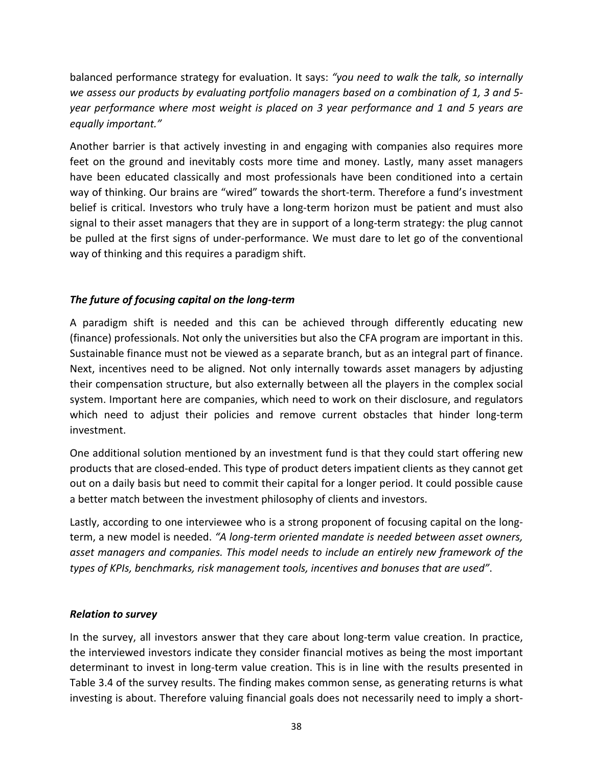balanced performance strategy for evaluation. It says: "you need to walk the talk, so internally *we assess our products by evaluating portfolio managers based on a combination of 1, 3 and 5year performance where most weight is placed on 3 year performance and 1 and 5 years are equally important."*

Another barrier is that actively investing in and engaging with companies also requires more feet on the ground and inevitably costs more time and money. Lastly, many asset managers have been educated classically and most professionals have been conditioned into a certain way of thinking. Our brains are "wired" towards the short-term. Therefore a fund's investment belief is critical. Investors who truly have a long-term horizon must be patient and must also signal to their asset managers that they are in support of a long-term strategy: the plug cannot be pulled at the first signs of under-performance. We must dare to let go of the conventional way of thinking and this requires a paradigm shift.

## The future of focusing capital on the long-term

A paradigm shift is needed and this can be achieved through differently educating new (finance) professionals. Not only the universities but also the CFA program are important in this. Sustainable finance must not be viewed as a separate branch, but as an integral part of finance. Next, incentives need to be aligned. Not only internally towards asset managers by adjusting their compensation structure, but also externally between all the players in the complex social system. Important here are companies, which need to work on their disclosure, and regulators which need to adjust their policies and remove current obstacles that hinder long-term investment.

One additional solution mentioned by an investment fund is that they could start offering new products that are closed-ended. This type of product deters impatient clients as they cannot get out on a daily basis but need to commit their capital for a longer period. It could possible cause a better match between the investment philosophy of clients and investors.

Lastly, according to one interviewee who is a strong proponent of focusing capital on the longterm, a new model is needed. "A long-term oriented mandate is needed between asset owners, asset managers and companies. This model needs to include an entirely new framework of the *types of KPIs, benchmarks, risk management tools, incentives and bonuses that are used"*.

## *Relation to survey*

In the survey, all investors answer that they care about long-term value creation. In practice, the interviewed investors indicate they consider financial motives as being the most important determinant to invest in long-term value creation. This is in line with the results presented in Table 3.4 of the survey results. The finding makes common sense, as generating returns is what investing is about. Therefore valuing financial goals does not necessarily need to imply a short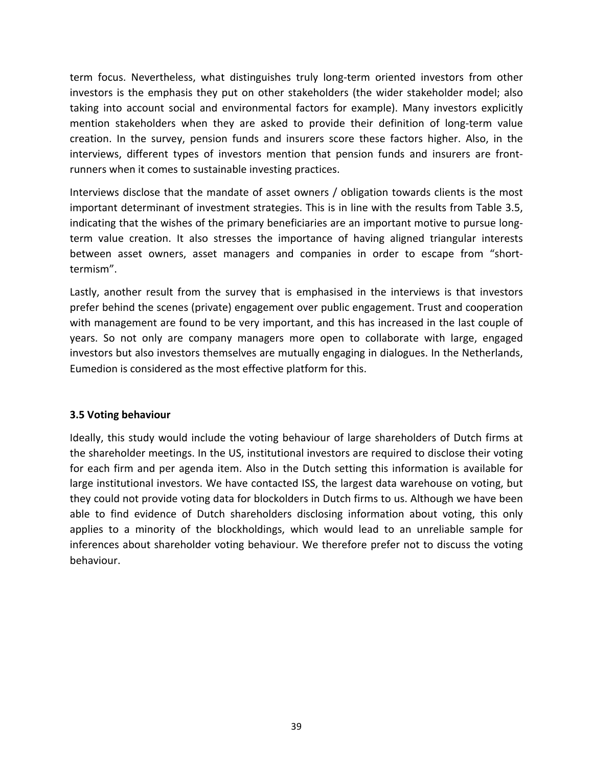term focus. Nevertheless, what distinguishes truly long-term oriented investors from other investors is the emphasis they put on other stakeholders (the wider stakeholder model; also taking into account social and environmental factors for example). Many investors explicitly mention stakeholders when they are asked to provide their definition of long-term value creation. In the survey, pension funds and insurers score these factors higher. Also, in the interviews, different types of investors mention that pension funds and insurers are frontrunners when it comes to sustainable investing practices.

Interviews disclose that the mandate of asset owners / obligation towards clients is the most important determinant of investment strategies. This is in line with the results from Table 3.5, indicating that the wishes of the primary beneficiaries are an important motive to pursue longterm value creation. It also stresses the importance of having aligned triangular interests between asset owners, asset managers and companies in order to escape from "shorttermism". 

Lastly, another result from the survey that is emphasised in the interviews is that investors prefer behind the scenes (private) engagement over public engagement. Trust and cooperation with management are found to be very important, and this has increased in the last couple of years. So not only are company managers more open to collaborate with large, engaged investors but also investors themselves are mutually engaging in dialogues. In the Netherlands, Eumedion is considered as the most effective platform for this.

#### **3.5 Voting behaviour**

Ideally, this study would include the voting behaviour of large shareholders of Dutch firms at the shareholder meetings. In the US, institutional investors are required to disclose their voting for each firm and per agenda item. Also in the Dutch setting this information is available for large institutional investors. We have contacted ISS, the largest data warehouse on voting, but they could not provide voting data for blockolders in Dutch firms to us. Although we have been able to find evidence of Dutch shareholders disclosing information about voting, this only applies to a minority of the blockholdings, which would lead to an unreliable sample for inferences about shareholder voting behaviour. We therefore prefer not to discuss the voting behaviour.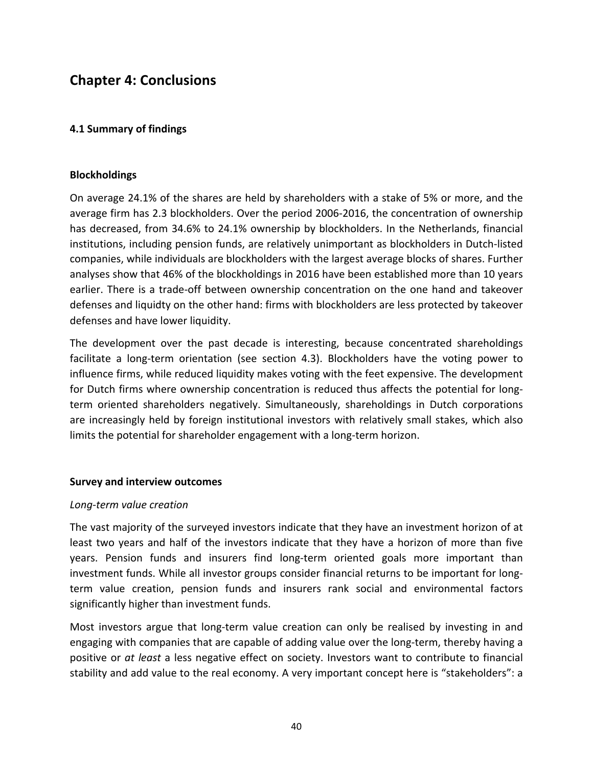## **Chapter 4: Conclusions**

#### **4.1 Summary of findings**

#### **Blockholdings**

On average 24.1% of the shares are held by shareholders with a stake of 5% or more, and the average firm has 2.3 blockholders. Over the period 2006-2016, the concentration of ownership has decreased, from 34.6% to 24.1% ownership by blockholders. In the Netherlands, financial institutions, including pension funds, are relatively unimportant as blockholders in Dutch-listed companies, while individuals are blockholders with the largest average blocks of shares. Further analyses show that 46% of the blockholdings in 2016 have been established more than 10 years earlier. There is a trade-off between ownership concentration on the one hand and takeover defenses and liquidty on the other hand: firms with blockholders are less protected by takeover defenses and have lower liquidity.

The development over the past decade is interesting, because concentrated shareholdings facilitate a long-term orientation (see section 4.3). Blockholders have the voting power to influence firms, while reduced liquidity makes voting with the feet expensive. The development for Dutch firms where ownership concentration is reduced thus affects the potential for longterm oriented shareholders negatively. Simultaneously, shareholdings in Dutch corporations are increasingly held by foreign institutional investors with relatively small stakes, which also limits the potential for shareholder engagement with a long-term horizon.

#### **Survey and interview outcomes**

#### *Long-term value creation*

The vast majority of the surveyed investors indicate that they have an investment horizon of at least two years and half of the investors indicate that they have a horizon of more than five years. Pension funds and insurers find long-term oriented goals more important than investment funds. While all investor groups consider financial returns to be important for longterm value creation, pension funds and insurers rank social and environmental factors significantly higher than investment funds.

Most investors argue that long-term value creation can only be realised by investing in and engaging with companies that are capable of adding value over the long-term, thereby having a positive or at least a less negative effect on society. Investors want to contribute to financial stability and add value to the real economy. A very important concept here is "stakeholders": a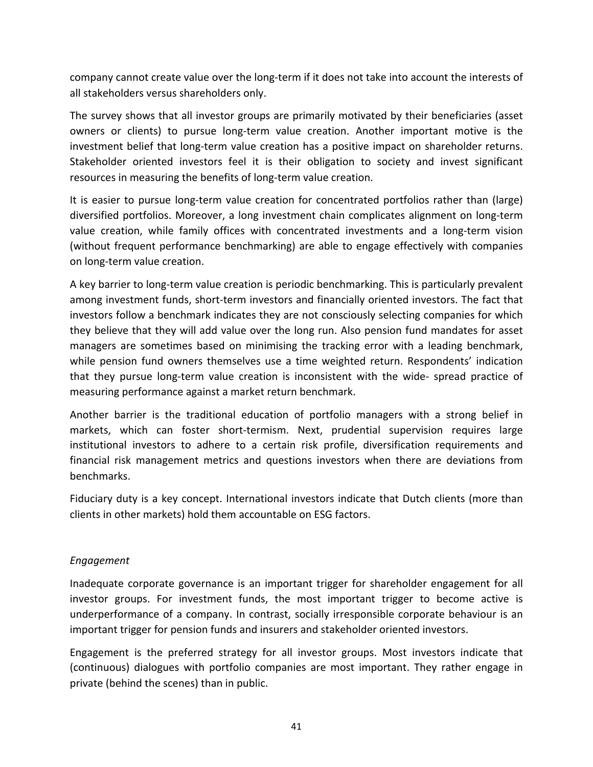company cannot create value over the long-term if it does not take into account the interests of all stakeholders versus shareholders only.

The survey shows that all investor groups are primarily motivated by their beneficiaries (asset owners or clients) to pursue long-term value creation. Another important motive is the investment belief that long-term value creation has a positive impact on shareholder returns. Stakeholder oriented investors feel it is their obligation to society and invest significant resources in measuring the benefits of long-term value creation.

It is easier to pursue long-term value creation for concentrated portfolios rather than (large) diversified portfolios. Moreover, a long investment chain complicates alignment on long-term value creation, while family offices with concentrated investments and a long-term vision (without frequent performance benchmarking) are able to engage effectively with companies on long-term value creation.

A key barrier to long-term value creation is periodic benchmarking. This is particularly prevalent among investment funds, short-term investors and financially oriented investors. The fact that investors follow a benchmark indicates they are not consciously selecting companies for which they believe that they will add value over the long run. Also pension fund mandates for asset managers are sometimes based on minimising the tracking error with a leading benchmark, while pension fund owners themselves use a time weighted return. Respondents' indication that they pursue long-term value creation is inconsistent with the wide- spread practice of measuring performance against a market return benchmark.

Another barrier is the traditional education of portfolio managers with a strong belief in markets, which can foster short-termism. Next, prudential supervision requires large institutional investors to adhere to a certain risk profile, diversification requirements and financial risk management metrics and questions investors when there are deviations from benchmarks.

Fiduciary duty is a key concept. International investors indicate that Dutch clients (more than clients in other markets) hold them accountable on ESG factors.

## *Engagement*

Inadequate corporate governance is an important trigger for shareholder engagement for all investor groups. For investment funds, the most important trigger to become active is underperformance of a company. In contrast, socially irresponsible corporate behaviour is an important trigger for pension funds and insurers and stakeholder oriented investors.

Engagement is the preferred strategy for all investor groups. Most investors indicate that (continuous) dialogues with portfolio companies are most important. They rather engage in private (behind the scenes) than in public.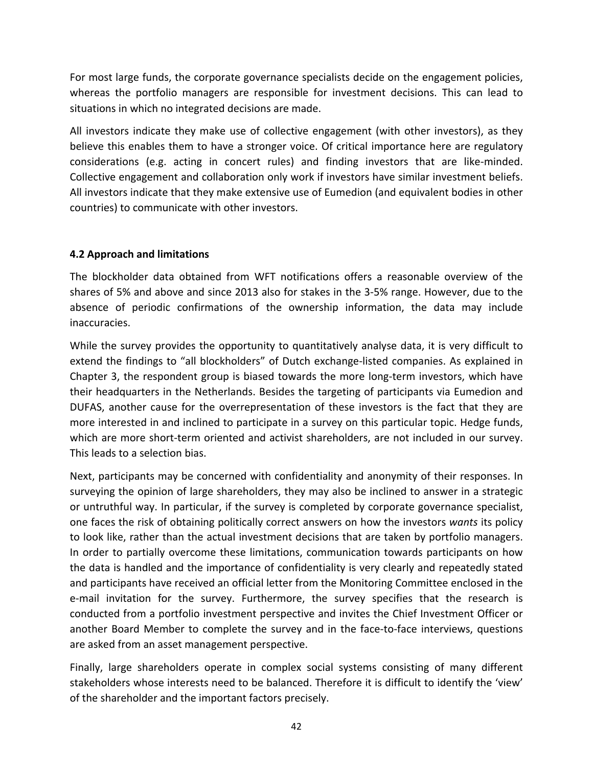For most large funds, the corporate governance specialists decide on the engagement policies, whereas the portfolio managers are responsible for investment decisions. This can lead to situations in which no integrated decisions are made.

All investors indicate they make use of collective engagement (with other investors), as they believe this enables them to have a stronger voice. Of critical importance here are regulatory considerations (e.g. acting in concert rules) and finding investors that are like-minded. Collective engagement and collaboration only work if investors have similar investment beliefs. All investors indicate that they make extensive use of Eumedion (and equivalent bodies in other countries) to communicate with other investors.

## **4.2 Approach and limitations**

The blockholder data obtained from WFT notifications offers a reasonable overview of the shares of 5% and above and since 2013 also for stakes in the 3-5% range. However, due to the absence of periodic confirmations of the ownership information, the data may include inaccuracies.

While the survey provides the opportunity to quantitatively analyse data, it is very difficult to extend the findings to "all blockholders" of Dutch exchange-listed companies. As explained in Chapter 3, the respondent group is biased towards the more long-term investors, which have their headquarters in the Netherlands. Besides the targeting of participants via Eumedion and DUFAS, another cause for the overrepresentation of these investors is the fact that they are more interested in and inclined to participate in a survey on this particular topic. Hedge funds, which are more short-term oriented and activist shareholders, are not included in our survey. This leads to a selection bias.

Next, participants may be concerned with confidentiality and anonymity of their responses. In surveying the opinion of large shareholders, they may also be inclined to answer in a strategic or untruthful way. In particular, if the survey is completed by corporate governance specialist, one faces the risk of obtaining politically correct answers on how the investors wants its policy to look like, rather than the actual investment decisions that are taken by portfolio managers. In order to partially overcome these limitations, communication towards participants on how the data is handled and the importance of confidentiality is very clearly and repeatedly stated and participants have received an official letter from the Monitoring Committee enclosed in the e-mail invitation for the survey. Furthermore, the survey specifies that the research is conducted from a portfolio investment perspective and invites the Chief Investment Officer or another Board Member to complete the survey and in the face-to-face interviews, questions are asked from an asset management perspective.

Finally, large shareholders operate in complex social systems consisting of many different stakeholders whose interests need to be balanced. Therefore it is difficult to identify the 'view' of the shareholder and the important factors precisely.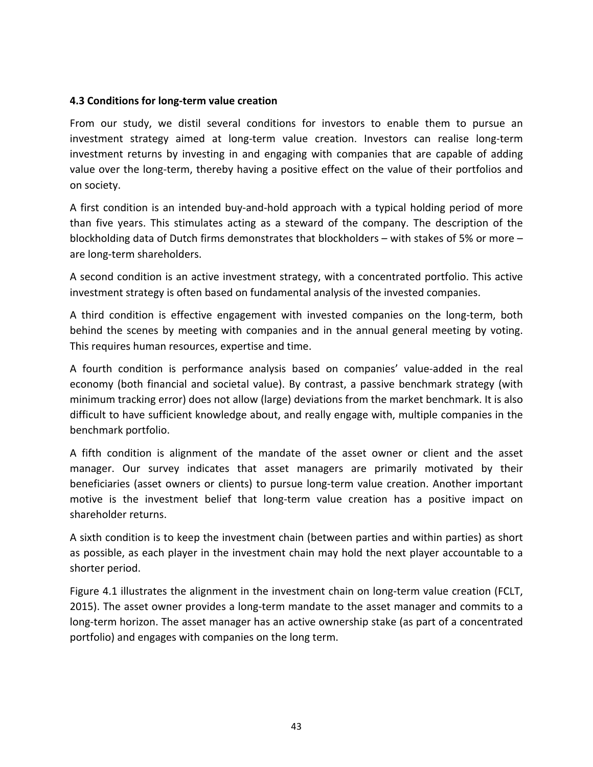## **4.3 Conditions for long-term value creation**

From our study, we distil several conditions for investors to enable them to pursue an investment strategy aimed at long-term value creation. Investors can realise long-term investment returns by investing in and engaging with companies that are capable of adding value over the long-term, thereby having a positive effect on the value of their portfolios and on society.

A first condition is an intended buy-and-hold approach with a typical holding period of more than five years. This stimulates acting as a steward of the company. The description of the blockholding data of Dutch firms demonstrates that blockholders  $-$  with stakes of 5% or more  $$ are long-term shareholders.

A second condition is an active investment strategy, with a concentrated portfolio. This active investment strategy is often based on fundamental analysis of the invested companies.

A third condition is effective engagement with invested companies on the long-term, both behind the scenes by meeting with companies and in the annual general meeting by voting. This requires human resources, expertise and time.

A fourth condition is performance analysis based on companies' value-added in the real economy (both financial and societal value). By contrast, a passive benchmark strategy (with minimum tracking error) does not allow (large) deviations from the market benchmark. It is also difficult to have sufficient knowledge about, and really engage with, multiple companies in the benchmark portfolio.

A fifth condition is alignment of the mandate of the asset owner or client and the asset manager. Our survey indicates that asset managers are primarily motivated by their beneficiaries (asset owners or clients) to pursue long-term value creation. Another important motive is the investment belief that long-term value creation has a positive impact on shareholder returns.

A sixth condition is to keep the investment chain (between parties and within parties) as short as possible, as each player in the investment chain may hold the next player accountable to a shorter period.

Figure 4.1 illustrates the alignment in the investment chain on long-term value creation (FCLT, 2015). The asset owner provides a long-term mandate to the asset manager and commits to a long-term horizon. The asset manager has an active ownership stake (as part of a concentrated portfolio) and engages with companies on the long term.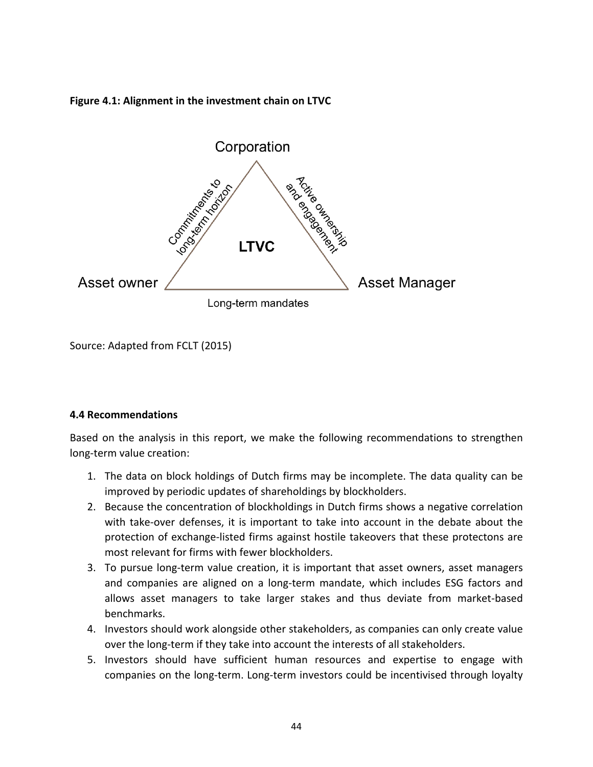## Figure 4.1: Alignment in the investment chain on LTVC



Source: Adapted from FCLT (2015)

## **4.4 Recommendations**

Based on the analysis in this report, we make the following recommendations to strengthen long-term value creation:

- 1. The data on block holdings of Dutch firms may be incomplete. The data quality can be improved by periodic updates of shareholdings by blockholders.
- 2. Because the concentration of blockholdings in Dutch firms shows a negative correlation with take-over defenses, it is important to take into account in the debate about the protection of exchange-listed firms against hostile takeovers that these protectons are most relevant for firms with fewer blockholders.
- 3. To pursue long-term value creation, it is important that asset owners, asset managers and companies are aligned on a long-term mandate, which includes ESG factors and allows asset managers to take larger stakes and thus deviate from market-based benchmarks.
- 4. Investors should work alongside other stakeholders, as companies can only create value over the long-term if they take into account the interests of all stakeholders.
- 5. Investors should have sufficient human resources and expertise to engage with companies on the long-term. Long-term investors could be incentivised through loyalty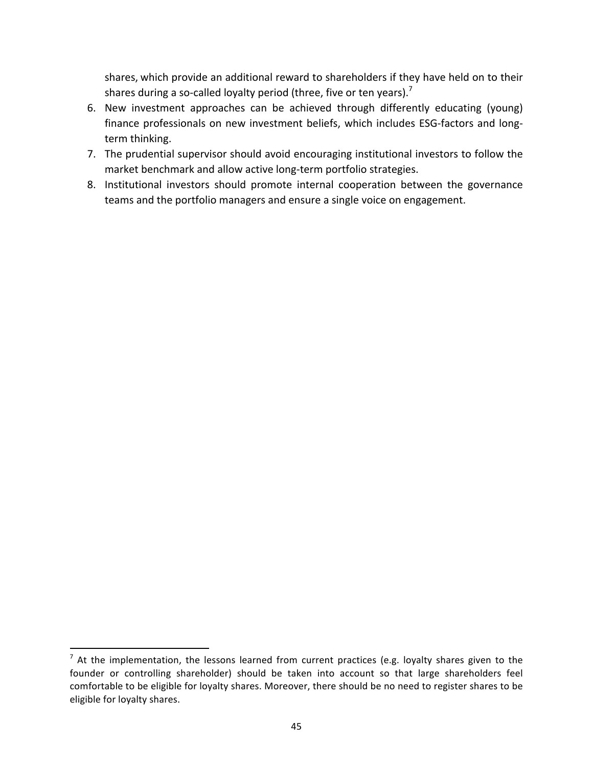shares, which provide an additional reward to shareholders if they have held on to their shares during a so-called loyalty period (three, five or ten years).<sup>7</sup>

- 6. New investment approaches can be achieved through differently educating (young) finance professionals on new investment beliefs, which includes ESG-factors and longterm thinking.
- 7. The prudential supervisor should avoid encouraging institutional investors to follow the market benchmark and allow active long-term portfolio strategies.
- 8. Institutional investors should promote internal cooperation between the governance teams and the portfolio managers and ensure a single voice on engagement.

 

 $^7$  At the implementation, the lessons learned from current practices (e.g. loyalty shares given to the founder or controlling shareholder) should be taken into account so that large shareholders feel comfortable to be eligible for loyalty shares. Moreover, there should be no need to register shares to be eligible for loyalty shares.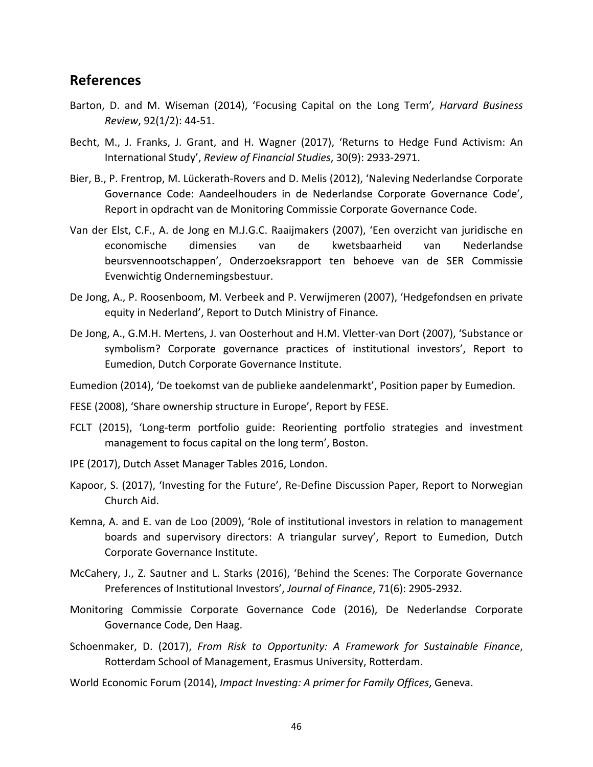## **References**

- Barton, D. and M. Wiseman (2014), 'Focusing Capital on the Long Term', *Harvard Business Review*, 92(1/2): 44-51.
- Becht, M., J. Franks, J. Grant, and H. Wagner (2017), 'Returns to Hedge Fund Activism: An International Study', Review of Financial Studies, 30(9): 2933-2971.
- Bier, B., P. Frentrop, M. Lückerath-Rovers and D. Melis (2012), 'Naleving Nederlandse Corporate Governance Code: Aandeelhouders in de Nederlandse Corporate Governance Code', Report in opdracht van de Monitoring Commissie Corporate Governance Code.
- Van der Elst, C.F., A. de Jong en M.J.G.C. Raaijmakers (2007), 'Een overzicht van juridische en economische dimensies van de kwetsbaarheid van Nederlandse beursvennootschappen', Onderzoeksrapport ten behoeve van de SER Commissie Evenwichtig Ondernemingsbestuur.
- De Jong, A., P. Roosenboom, M. Verbeek and P. Verwijmeren (2007), 'Hedgefondsen en private equity in Nederland', Report to Dutch Ministry of Finance.
- De Jong, A., G.M.H. Mertens, J. van Oosterhout and H.M. Vletter-van Dort (2007), 'Substance or symbolism? Corporate governance practices of institutional investors', Report to Eumedion, Dutch Corporate Governance Institute.

Eumedion (2014), 'De toekomst van de publieke aandelenmarkt', Position paper by Eumedion.

FESE (2008), 'Share ownership structure in Europe', Report by FESE.

- FCLT (2015), 'Long-term portfolio guide: Reorienting portfolio strategies and investment management to focus capital on the long term', Boston.
- IPE (2017), Dutch Asset Manager Tables 2016, London.
- Kapoor, S. (2017), 'Investing for the Future', Re-Define Discussion Paper, Report to Norwegian Church Aid.
- Kemna, A. and E. van de Loo (2009), 'Role of institutional investors in relation to management boards and supervisory directors: A triangular survey', Report to Eumedion, Dutch Corporate Governance Institute.
- McCahery, J., Z. Sautner and L. Starks (2016), 'Behind the Scenes: The Corporate Governance Preferences of Institutional Investors', Journal of Finance, 71(6): 2905-2932.
- Monitoring Commissie Corporate Governance Code (2016), De Nederlandse Corporate Governance Code, Den Haag.
- Schoenmaker, D. (2017), *From Risk to Opportunity: A Framework for Sustainable Finance*, Rotterdam School of Management, Erasmus University, Rotterdam.
- World Economic Forum (2014), *Impact Investing: A primer for Family Offices*, Geneva.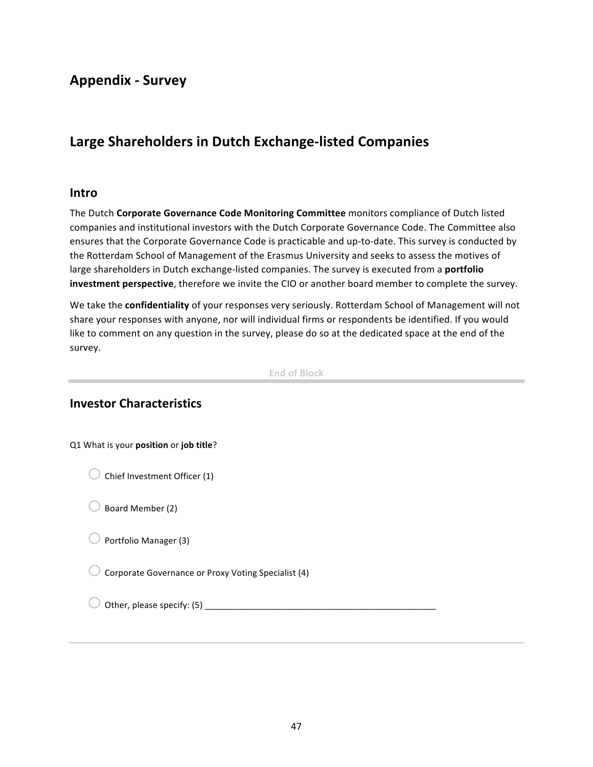## **Appendix - Survey**

## Large Shareholders in Dutch Exchange-listed Companies

#### **Intro**

The Dutch **Corporate Governance Code Monitoring Committee** monitors compliance of Dutch listed companies and institutional investors with the Dutch Corporate Governance Code. The Committee also ensures that the Corporate Governance Code is practicable and up-to-date. This survey is conducted by the Rotterdam School of Management of the Erasmus University and seeks to assess the motives of large shareholders in Dutch exchange-listed companies. The survey is executed from a **portfolio investment perspective**, therefore we invite the CIO or another board member to complete the survey.

We take the **confidentiality** of your responses very seriously. Rotterdam School of Management will not share your responses with anyone, nor will individual firms or respondents be identified. If you would like to comment on any question in the survey, please do so at the dedicated space at the end of the survey.

**End of Block**

## **Investor Characteristics**

| Q1 What is your position or job title?              |  |
|-----------------------------------------------------|--|
| Chief Investment Officer (1)                        |  |
| Board Member (2)                                    |  |
| Portfolio Manager (3)                               |  |
| Corporate Governance or Proxy Voting Specialist (4) |  |
| Other, please specify: (5)                          |  |
|                                                     |  |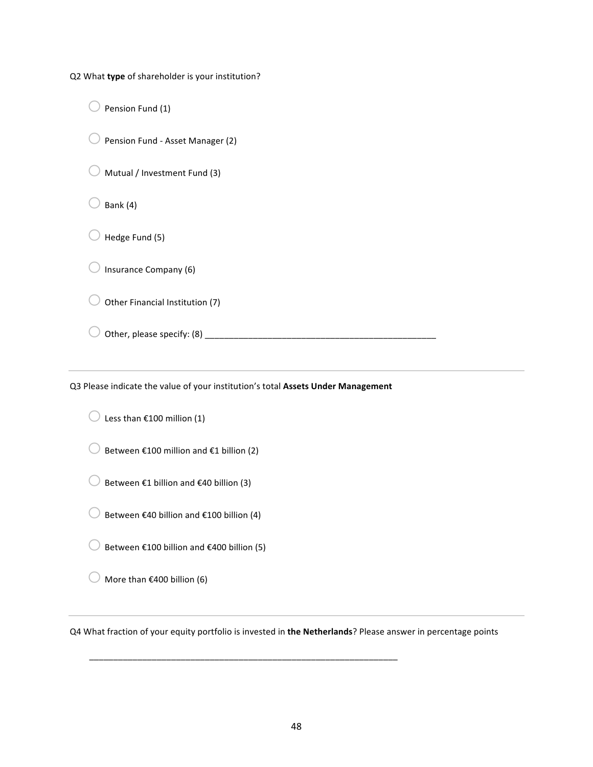Q2 What **type** of shareholder is your institution?

 $\bigcirc$  Pension Fund (1)

 $\bigcirc$  Pension Fund - Asset Manager (2)

 $\bigcirc$  Mutual / Investment Fund (3)

 $\bigcirc$  Bank (4)

 $\bigcirc$  Hedge Fund (5)

 $\bigcirc$  Insurance Company (6)

 $\bigcirc$  Other Financial Institution (7)

o Other, please specify: (8) \_\_\_\_\_\_\_\_\_\_\_\_\_\_\_\_\_\_\_\_\_\_\_\_\_\_\_\_\_\_\_\_\_\_\_\_\_\_\_\_\_\_\_\_\_\_\_\_

Q3 Please indicate the value of your institution's total Assets Under Management

 $\bigcirc$  Less than €100 million (1)

 $\bigcirc$  Between €100 million and €1 billion (2)

 $\bigcirc$  Between €1 billion and €40 billion (3)

 $\bigcirc$  Between €40 billion and €100 billion (4)

 $\bigcirc$  Between €100 billion and €400 billion (5)

 $\bigcirc$  More than €400 billion (6)

Q4 What fraction of your equity portfolio is invested in the Netherlands? Please answer in percentage points

\_\_\_\_\_\_\_\_\_\_\_\_\_\_\_\_\_\_\_\_\_\_\_\_\_\_\_\_\_\_\_\_\_\_\_\_\_\_\_\_\_\_\_\_\_\_\_\_\_\_\_\_\_\_\_\_\_\_\_\_\_\_\_\_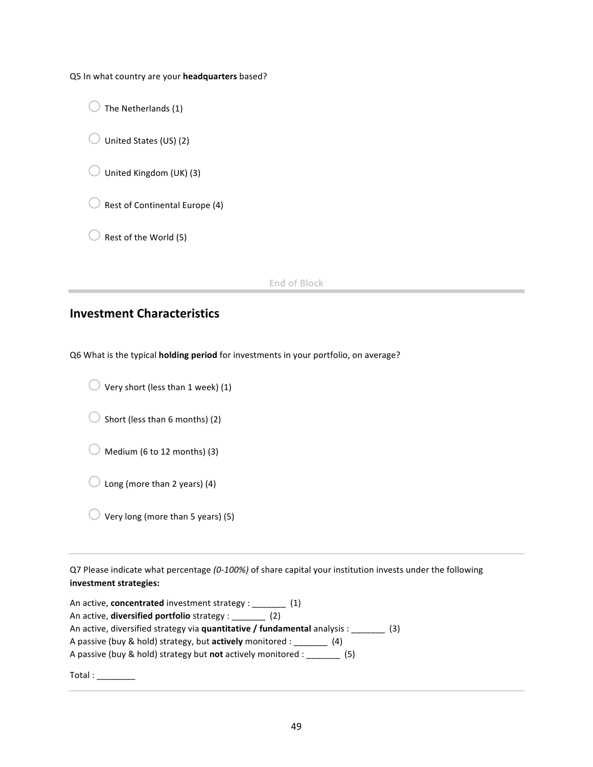Q5 In what country are your headquarters based?

 $\bigcirc$  The Netherlands (1)

 $\bigcirc$  United States (US) (2)

 $\bigcirc$  United Kingdom (UK) (3)

 $\bigcirc$  Rest of Continental Europe (4)

 $\bigcirc$  Rest of the World (5)

**End of Block**

## **Investment Characteristics**

Q6 What is the typical **holding period** for investments in your portfolio, on average?

 $\bigcirc$  Very short (less than 1 week) (1)

 $\bigcirc$  Short (less than 6 months) (2)

 $\bigcirc$  Medium (6 to 12 months) (3)

 $\bigcirc$  Long (more than 2 years) (4)

 $\bigcirc$  Very long (more than 5 years) (5)

Q7 Please indicate what percentage (0-100%) of share capital your institution invests under the following **investment strategies:**

| An active, concentrated investment strategy : _______ (1)                  |     |
|----------------------------------------------------------------------------|-----|
| An active, <b>diversified portfolio</b> strategy : $(2)$                   |     |
| An active, diversified strategy via quantitative / fundamental analysis :  | (3) |
| A passive (buy & hold) strategy, but <b>actively</b> monitored :<br>(4)    |     |
| A passive (buy & hold) strategy but <b>not</b> actively monitored :<br>(5) |     |
|                                                                            |     |

 $\begin{minipage}{0.5\textwidth} \centering \begin{tabular}{|c|c|c|} \hline \textbf{Total} & \textbf{3} & \textbf{5} & \textbf{6} & \textbf{7} & \textbf{8} & \textbf{9} & \textbf{10} & \textbf{10} & \textbf{10} & \textbf{10} & \textbf{10} & \textbf{10} & \textbf{10} & \textbf{10} & \textbf{10} & \textbf{10} & \textbf{10} & \textbf{10} & \textbf{10} & \textbf{10} & \textbf{10} & \textbf{10} & \textbf{10} & \$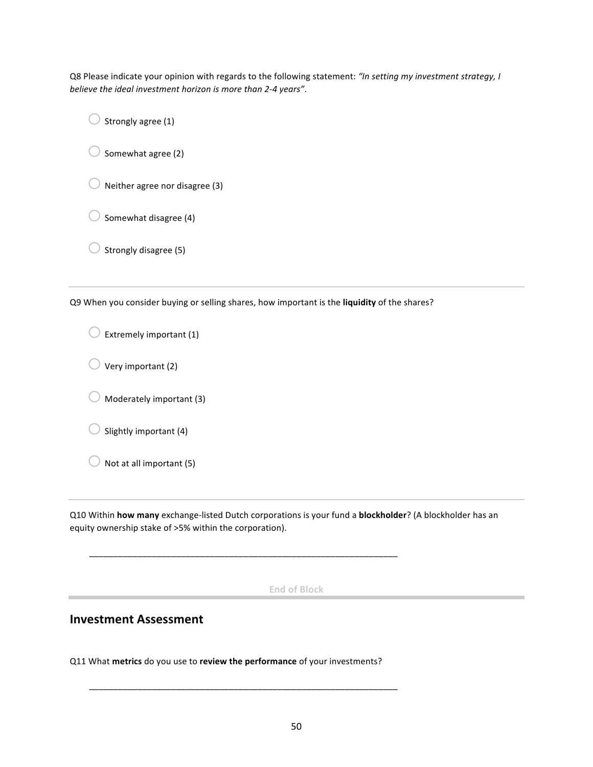Q8 Please indicate your opinion with regards to the following statement: "In setting my investment strategy, I *believe the ideal investment horizon is more than 2-4 years"*.

 $\bigcirc$  Strongly agree (1)

 $\bigcirc$  Somewhat agree (2)

 $\bigcirc$  Neither agree nor disagree (3)

 $\bigcirc$  Somewhat disagree (4)

Strongly disagree (5)

Q9 When you consider buying or selling shares, how important is the **liquidity** of the shares?

 $\bigcirc$  Extremely important (1)

 $\bigcirc$  Very important (2)

 $\bigcirc$  Moderately important (3)

 $\bigcirc$  Slightly important (4)

 $\bigcirc$  Not at all important (5)

Q10 Within **how many** exchange-listed Dutch corporations is your fund a **blockholder**? (A blockholder has an equity ownership stake of >5% within the corporation).

**End of Block**

## **Investment Assessment**

Q11 What metrics do you use to review the performance of your investments?

\_\_\_\_\_\_\_\_\_\_\_\_\_\_\_\_\_\_\_\_\_\_\_\_\_\_\_\_\_\_\_\_\_\_\_\_\_\_\_\_\_\_\_\_\_\_\_\_\_\_\_\_\_\_\_\_\_\_\_\_\_\_\_\_

\_\_\_\_\_\_\_\_\_\_\_\_\_\_\_\_\_\_\_\_\_\_\_\_\_\_\_\_\_\_\_\_\_\_\_\_\_\_\_\_\_\_\_\_\_\_\_\_\_\_\_\_\_\_\_\_\_\_\_\_\_\_\_\_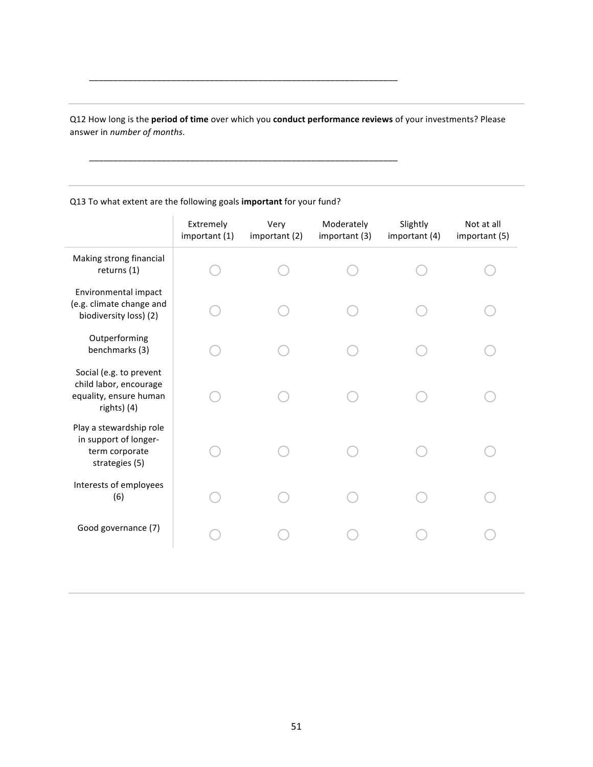Q12 How long is the **period of time** over which you **conduct performance reviews** of your investments? Please answer in *number of months*.

\_\_\_\_\_\_\_\_\_\_\_\_\_\_\_\_\_\_\_\_\_\_\_\_\_\_\_\_\_\_\_\_\_\_\_\_\_\_\_\_\_\_\_\_\_\_\_\_\_\_\_\_\_\_\_\_\_\_\_\_\_\_\_\_

\_\_\_\_\_\_\_\_\_\_\_\_\_\_\_\_\_\_\_\_\_\_\_\_\_\_\_\_\_\_\_\_\_\_\_\_\_\_\_\_\_\_\_\_\_\_\_\_\_\_\_\_\_\_\_\_\_\_\_\_\_\_\_\_

#### Extremely important (1) Very important (2) Moderately important (3) Slightly important (4) Not at all important (5) Making strong financial returns (1)  $\bigcirc$  o o o o o o o Environmental impact (e.g. climate change and biodiversity loss) (2) o o o o o Outperforming benchmarks (3) o o o o o Social (e.g. to prevent child labor, encourage equality, ensure human rights) (4) o o o o o Play a stewardship role in support of longerterm corporate strategies (5) o o o o o Interests of employees  $(6)$  O O O O O Good governance (7) o o o o o

Q13 To what extent are the following goals *important* for your fund?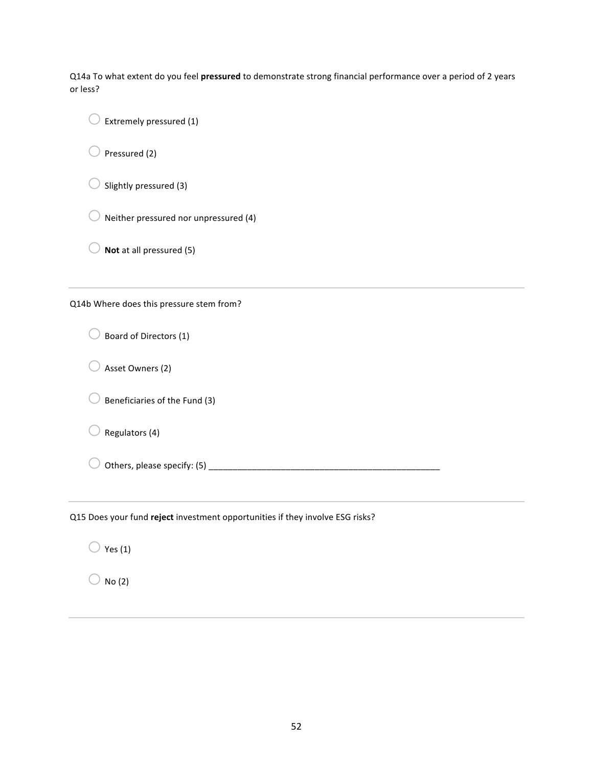Q14a To what extent do you feel **pressured** to demonstrate strong financial performance over a period of 2 years or less?

 $\bigcirc$  Extremely pressured (1)

 $\bigcirc$  Pressured (2)

 $\bigcirc$  Slightly pressured (3)

 $\bigcirc$  Neither pressured nor unpressured (4)

 $\bigcirc$  **Not** at all pressured (5)

Q14b Where does this pressure stem from?

 $\bigcirc$  Board of Directors (1)

 $\bigcirc$  Asset Owners (2)

 $\bigcirc$  Beneficiaries of the Fund (3)

 $\bigcirc$  Regulators (4)

o Others, please specify: (5) \_\_\_\_\_\_\_\_\_\_\_\_\_\_\_\_\_\_\_\_\_\_\_\_\_\_\_\_\_\_\_\_\_\_\_\_\_\_\_\_\_\_\_\_\_\_\_\_

Q15 Does your fund reject investment opportunities if they involve ESG risks?

 $\bigcirc$  Yes (1)

 $\bigcirc$  No (2)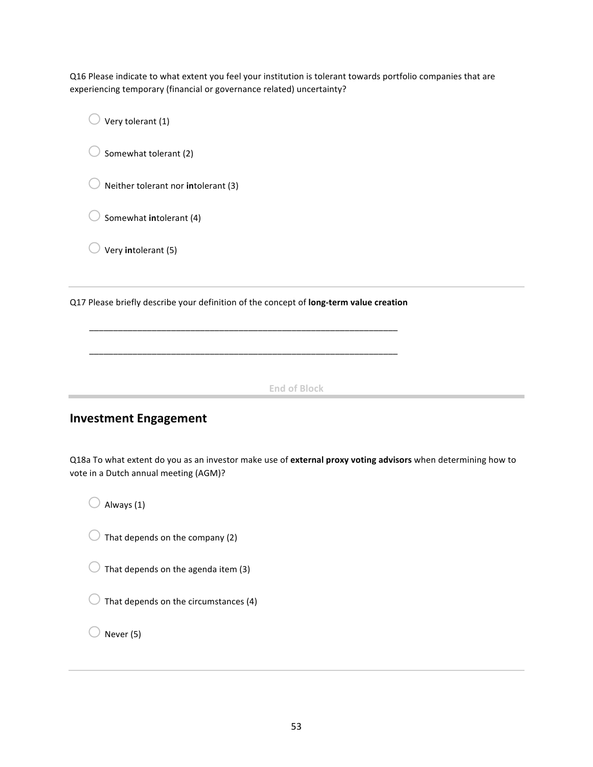Q16 Please indicate to what extent you feel your institution is tolerant towards portfolio companies that are experiencing temporary (financial or governance related) uncertainty?

 $\bigcirc$  Very tolerant (1)

 $\bigcirc$  Somewhat tolerant (2)

 $\bigcirc$  Neither tolerant nor **in**tolerant (3)

 $\bigcirc$  Somewhat **in**tolerant (4)

 $\bigcirc$  Very **in**tolerant (5)

Q17 Please briefly describe your definition of the concept of **long-term value creation** 

\_\_\_\_\_\_\_\_\_\_\_\_\_\_\_\_\_\_\_\_\_\_\_\_\_\_\_\_\_\_\_\_\_\_\_\_\_\_\_\_\_\_\_\_\_\_\_\_\_\_\_\_\_\_\_\_\_\_\_\_\_\_\_\_

\_\_\_\_\_\_\_\_\_\_\_\_\_\_\_\_\_\_\_\_\_\_\_\_\_\_\_\_\_\_\_\_\_\_\_\_\_\_\_\_\_\_\_\_\_\_\_\_\_\_\_\_\_\_\_\_\_\_\_\_\_\_\_\_

**End of Block**

## **Investment Engagement**

Q18a To what extent do you as an investor make use of external proxy voting advisors when determining how to vote in a Dutch annual meeting (AGM)?

 $\bigcirc$  Always (1)

 $\bigcirc$  That depends on the company (2)

 $\bigcirc$  That depends on the agenda item (3)

 $\bigcirc$  That depends on the circumstances (4)

Never (5)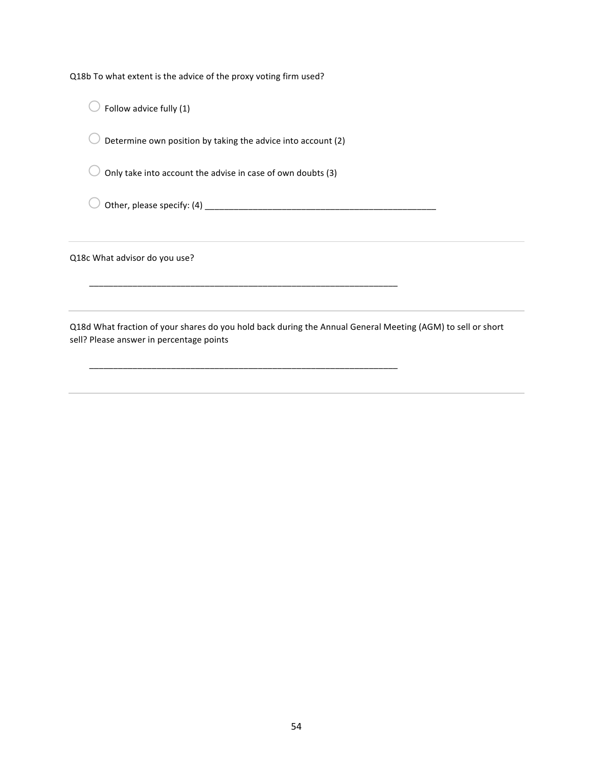Q18b To what extent is the advice of the proxy voting firm used?

 $\bigcirc$  Follow advice fully (1)

 $\bigcirc$  Determine own position by taking the advice into account (2)

 $\bigcirc$  Only take into account the advise in case of own doubts (3)

\_\_\_\_\_\_\_\_\_\_\_\_\_\_\_\_\_\_\_\_\_\_\_\_\_\_\_\_\_\_\_\_\_\_\_\_\_\_\_\_\_\_\_\_\_\_\_\_\_\_\_\_\_\_\_\_\_\_\_\_\_\_\_\_

\_\_\_\_\_\_\_\_\_\_\_\_\_\_\_\_\_\_\_\_\_\_\_\_\_\_\_\_\_\_\_\_\_\_\_\_\_\_\_\_\_\_\_\_\_\_\_\_\_\_\_\_\_\_\_\_\_\_\_\_\_\_\_\_

o Other, please specify: (4) \_\_\_\_\_\_\_\_\_\_\_\_\_\_\_\_\_\_\_\_\_\_\_\_\_\_\_\_\_\_\_\_\_\_\_\_\_\_\_\_\_\_\_\_\_\_\_\_

Q18c What advisor do you use?

Q18d What fraction of your shares do you hold back during the Annual General Meeting (AGM) to sell or short sell? Please answer in percentage points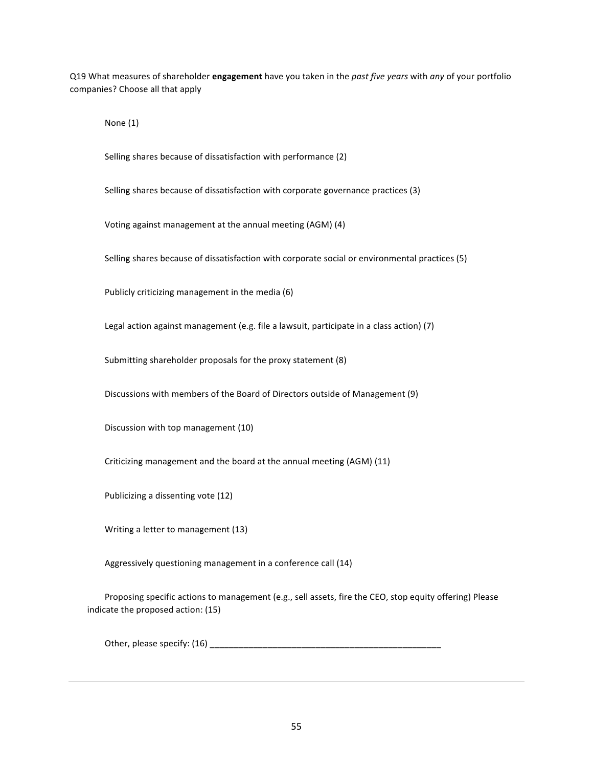Q19 What measures of shareholder **engagement** have you taken in the *past five years* with *any* of your portfolio companies? Choose all that apply

None (1)

Selling shares because of dissatisfaction with performance (2)

Selling shares because of dissatisfaction with corporate governance practices (3)

Voting against management at the annual meeting (AGM) (4)

Selling shares because of dissatisfaction with corporate social or environmental practices (5)

Publicly criticizing management in the media (6)

Legal action against management (e.g. file a lawsuit, participate in a class action) (7)

Submitting shareholder proposals for the proxy statement (8)

Discussions with members of the Board of Directors outside of Management (9)

Discussion with top management (10)

Criticizing management and the board at the annual meeting (AGM) (11)

Publicizing a dissenting vote (12)

Writing a letter to management (13)

Aggressively questioning management in a conference call (14)

Proposing specific actions to management (e.g., sell assets, fire the CEO, stop equity offering) Please indicate the proposed action: (15)

Other, please specify: (16)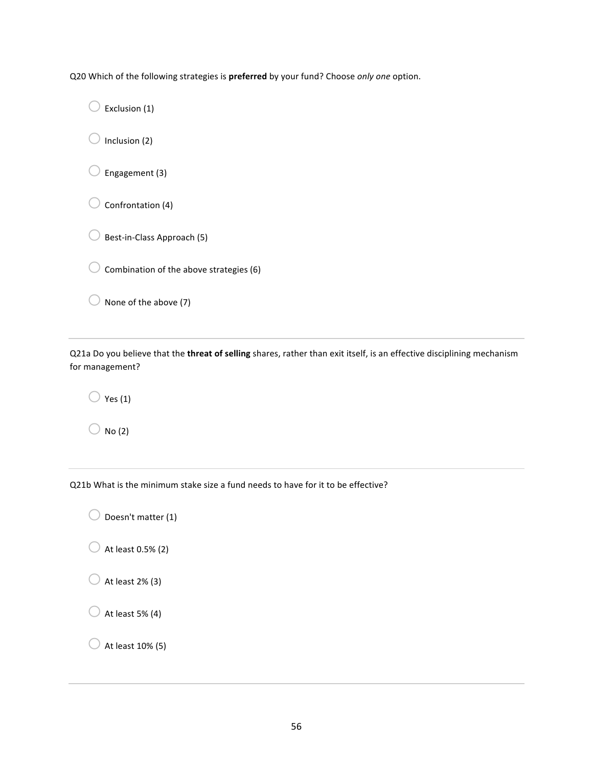Q20 Which of the following strategies is *preferred* by your fund? Choose only one option.

 $\bigcirc$  Exclusion (1)  $\bigcirc$  Inclusion (2)  $\bigcirc$  Engagement (3)  $\bigcirc$  Confrontation (4)  $\bigcirc$  Best-in-Class Approach (5)  $\bigcirc$  Combination of the above strategies (6)  $\bigcirc$  None of the above (7)

Q21a Do you believe that the *threat of selling* shares, rather than exit itself, is an effective disciplining mechanism for management?

 $\bigcirc$  Yes (1)

 $\bigcirc$  No (2)

Q21b What is the minimum stake size a fund needs to have for it to be effective?

 $\bigcirc$  Doesn't matter (1)

 $\bigcirc$  At least 0.5% (2)

 $\bigcirc$  At least 2% (3)

 $\bigcirc$  At least 5% (4)

 $\bigcirc$  At least 10% (5)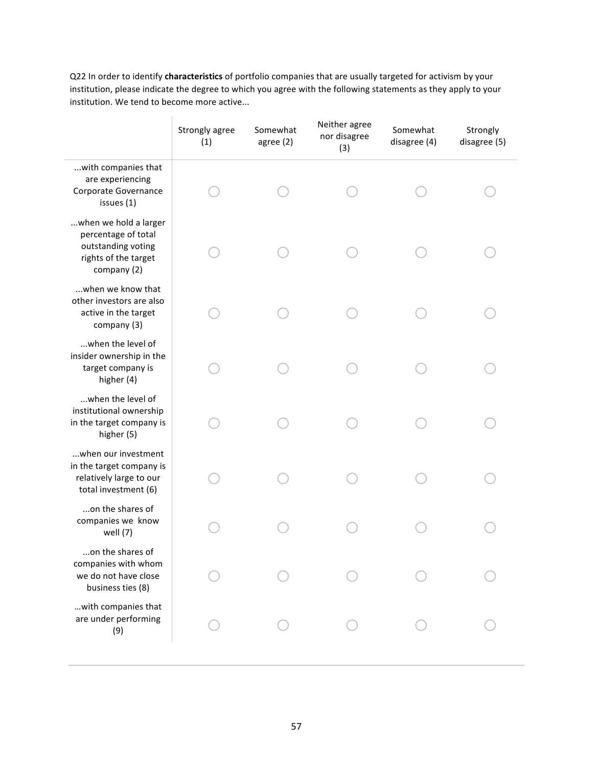Q22 In order to identify *characteristics* of portfolio companies that are usually targeted for activism by your institution, please indicate the degree to which you agree with the following statements as they apply to your institution. We tend to become more active...

|                                                                                                           | Strongly agree<br>(1) | Somewhat<br>agree (2) | Neither agree<br>nor disagree<br>(3) | Somewhat<br>disagree (4) | Strongly<br>disagree (5) |
|-----------------------------------------------------------------------------------------------------------|-----------------------|-----------------------|--------------------------------------|--------------------------|--------------------------|
| with companies that<br>are experiencing<br>Corporate Governance<br>issues (1)                             |                       |                       |                                      |                          |                          |
| when we hold a larger<br>percentage of total<br>outstanding voting<br>rights of the target<br>company (2) |                       |                       |                                      |                          |                          |
| when we know that<br>other investors are also<br>active in the target<br>company (3)                      |                       |                       |                                      |                          |                          |
| when the level of<br>insider ownership in the<br>target company is<br>higher (4)                          |                       |                       |                                      |                          |                          |
| when the level of<br>institutional ownership<br>in the target company is<br>higher (5)                    |                       |                       |                                      |                          |                          |
| when our investment<br>in the target company is<br>relatively large to our<br>total investment (6)        |                       |                       |                                      |                          |                          |
| on the shares of<br>companies we know<br>well $(7)$                                                       |                       |                       |                                      |                          |                          |
| on the shares of<br>companies with whom<br>we do not have close<br>business ties (8)                      |                       |                       |                                      |                          |                          |
| with companies that<br>are under performing<br>(9)                                                        |                       |                       |                                      |                          |                          |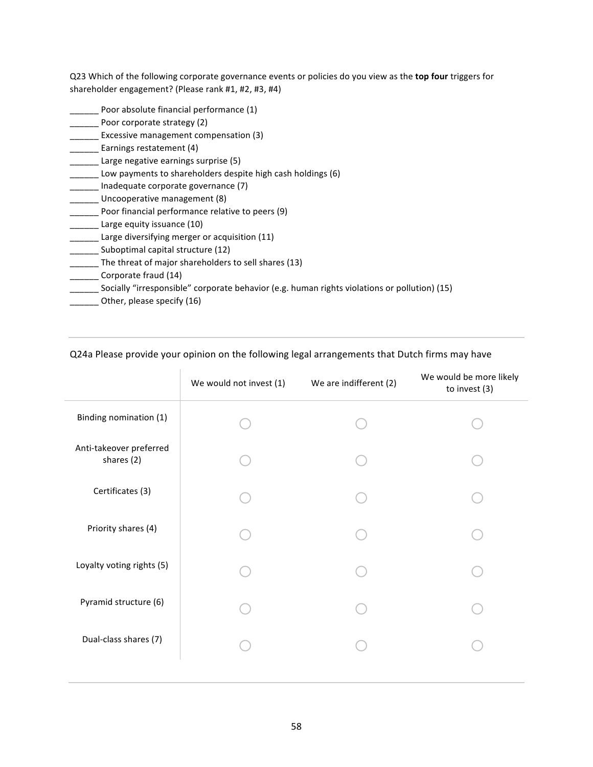Q23 Which of the following corporate governance events or policies do you view as the **top four** triggers for shareholder engagement? (Please rank #1, #2, #3, #4)

- Poor absolute financial performance (1) **Novewore** Poor corporate strategy (2) **Excessive management compensation (3)** \_\_\_\_ Earnings restatement (4) Large negative earnings surprise (5) \_\_\_\_\_ Low payments to shareholders despite high cash holdings (6) Inadequate corporate governance (7) Uncooperative management (8) Poor financial performance relative to peers (9) Large equity issuance (10) \_\_\_\_\_\_ Large diversifying merger or acquisition (11) Suboptimal capital structure (12)  $\_$  The threat of major shareholders to sell shares (13) \_\_\_\_\_\_ Corporate fraud (14) \_\_\_\_\_\_ Socially "irresponsible" corporate behavior (e.g. human rights violations or pollution) (15)
- \_\_\_\_\_\_ Other, please specify (16)

#### Q24a Please provide your opinion on the following legal arrangements that Dutch firms may have

|                                       | We would not invest (1) | We are indifferent (2) | We would be more likely<br>to invest (3) |
|---------------------------------------|-------------------------|------------------------|------------------------------------------|
| Binding nomination (1)                |                         |                        |                                          |
| Anti-takeover preferred<br>shares (2) |                         |                        |                                          |
| Certificates (3)                      |                         |                        |                                          |
| Priority shares (4)                   |                         |                        |                                          |
| Loyalty voting rights (5)             |                         |                        |                                          |
| Pyramid structure (6)                 |                         |                        |                                          |
| Dual-class shares (7)                 |                         |                        |                                          |
|                                       |                         |                        |                                          |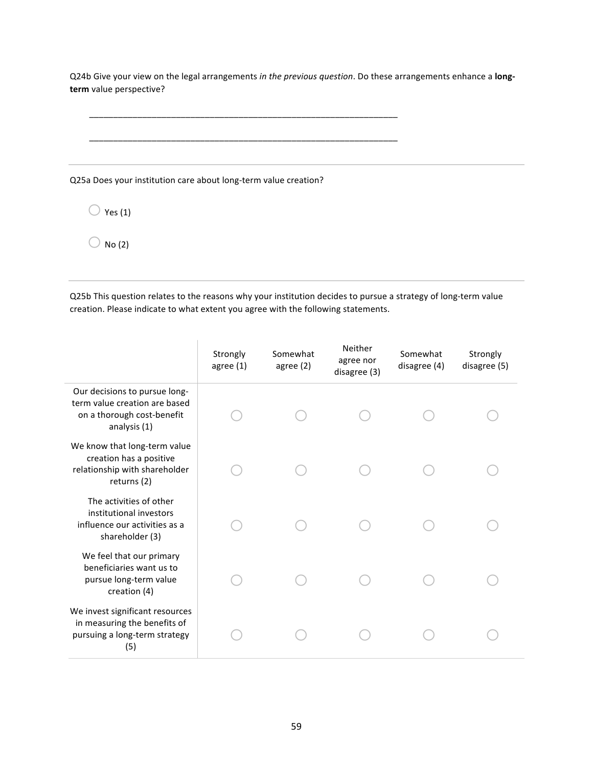Q24b Give your view on the legal arrangements in the previous question. Do these arrangements enhance a **long**term value perspective?

\_\_\_\_\_\_\_\_\_\_\_\_\_\_\_\_\_\_\_\_\_\_\_\_\_\_\_\_\_\_\_\_\_\_\_\_\_\_\_\_\_\_\_\_\_\_\_\_\_\_\_\_\_\_\_\_\_\_\_\_\_\_\_\_

\_\_\_\_\_\_\_\_\_\_\_\_\_\_\_\_\_\_\_\_\_\_\_\_\_\_\_\_\_\_\_\_\_\_\_\_\_\_\_\_\_\_\_\_\_\_\_\_\_\_\_\_\_\_\_\_\_\_\_\_\_\_\_\_

Q25a Does your institution care about long-term value creation?

 $\bigcirc$  Yes (1)

 $\bigcirc$  No (2)

Q25b This question relates to the reasons why your institution decides to pursue a strategy of long-term value creation. Please indicate to what extent you agree with the following statements.

|                                                                                                              | Strongly<br>agree $(1)$ | Somewhat<br>agree $(2)$ | Neither<br>agree nor<br>disagree (3) | Somewhat<br>disagree (4) | Strongly<br>disagree (5) |
|--------------------------------------------------------------------------------------------------------------|-------------------------|-------------------------|--------------------------------------|--------------------------|--------------------------|
| Our decisions to pursue long-<br>term value creation are based<br>on a thorough cost-benefit<br>analysis (1) |                         |                         |                                      |                          |                          |
| We know that long-term value<br>creation has a positive<br>relationship with shareholder<br>returns (2)      |                         |                         |                                      |                          |                          |
| The activities of other<br>institutional investors<br>influence our activities as a<br>shareholder (3)       |                         |                         |                                      |                          |                          |
| We feel that our primary<br>beneficiaries want us to<br>pursue long-term value<br>creation (4)               |                         |                         |                                      |                          |                          |
| We invest significant resources<br>in measuring the benefits of<br>pursuing a long-term strategy<br>(5)      |                         |                         |                                      |                          |                          |